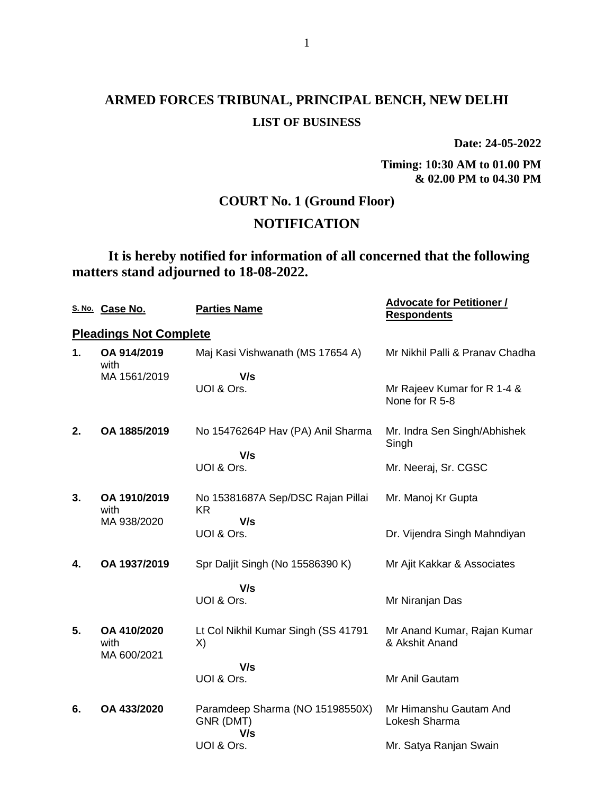**Date: 24-05-2022**

**Timing: 10:30 AM to 01.00 PM & 02.00 PM to 04.30 PM**

## **COURT No. 1 (Ground Floor)**

## **NOTIFICATION**

**It is hereby notified for information of all concerned that the following matters stand adjourned to 18-08-2022.**

|    | S. No. Case No.               | <b>Parties Name</b>                                 | <b>Advocate for Petitioner /</b><br><b>Respondents</b> |
|----|-------------------------------|-----------------------------------------------------|--------------------------------------------------------|
|    | <b>Pleadings Not Complete</b> |                                                     |                                                        |
| 1. | OA 914/2019<br>with           | Maj Kasi Vishwanath (MS 17654 A)                    | Mr Nikhil Palli & Pranav Chadha                        |
|    | MA 1561/2019                  | V/s<br>UOI & Ors.                                   | Mr Rajeev Kumar for R 1-4 &<br>None for R 5-8          |
| 2. | OA 1885/2019                  | No 15476264P Hav (PA) Anil Sharma                   | Mr. Indra Sen Singh/Abhishek<br>Singh                  |
|    |                               | V/s<br>UOI & Ors.                                   | Mr. Neeraj, Sr. CGSC                                   |
| 3. | OA 1910/2019<br>with          | No 15381687A Sep/DSC Rajan Pillai<br>KR             | Mr. Manoj Kr Gupta                                     |
|    | MA 938/2020                   | V/s<br>UOI & Ors.                                   | Dr. Vijendra Singh Mahndiyan                           |
| 4. | OA 1937/2019                  | Spr Daljit Singh (No 15586390 K)                    | Mr Ajit Kakkar & Associates                            |
|    |                               | V/s<br>UOI & Ors.                                   | Mr Niranjan Das                                        |
| 5. | OA 410/2020<br>with           | Lt Col Nikhil Kumar Singh (SS 41791<br>X)           | Mr Anand Kumar, Rajan Kumar<br>& Akshit Anand          |
|    | MA 600/2021                   | V/s<br>UOI & Ors.                                   | Mr Anil Gautam                                         |
| 6. | OA 433/2020                   | Paramdeep Sharma (NO 15198550X)<br>GNR (DMT)<br>V/s | Mr Himanshu Gautam And<br>Lokesh Sharma                |
|    |                               | UOI & Ors.                                          | Mr. Satya Ranjan Swain                                 |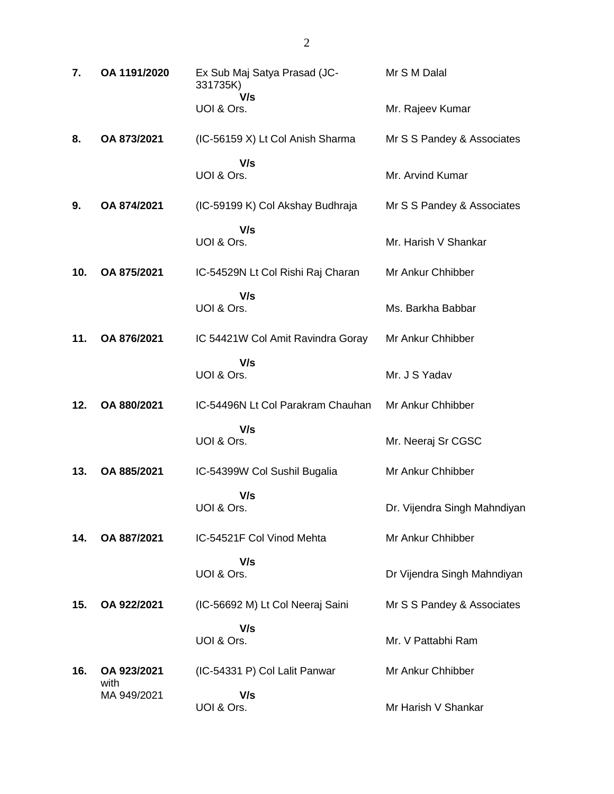| 7.  | OA 1191/2020        | Ex Sub Maj Satya Prasad (JC-<br>331735K) | Mr S M Dalal                 |
|-----|---------------------|------------------------------------------|------------------------------|
|     |                     | V/s<br>UOI & Ors.                        | Mr. Rajeev Kumar             |
| 8.  | OA 873/2021         | (IC-56159 X) Lt Col Anish Sharma         | Mr S S Pandey & Associates   |
|     |                     | V/s<br>UOI & Ors.                        | Mr. Arvind Kumar             |
| 9.  | OA 874/2021         | (IC-59199 K) Col Akshay Budhraja         | Mr S S Pandey & Associates   |
|     |                     | V/s<br>UOI & Ors.                        | Mr. Harish V Shankar         |
| 10. | OA 875/2021         | IC-54529N Lt Col Rishi Raj Charan        | Mr Ankur Chhibber            |
|     |                     | V/s<br>UOI & Ors.                        | Ms. Barkha Babbar            |
| 11. | OA 876/2021         | IC 54421W Col Amit Ravindra Goray        | Mr Ankur Chhibber            |
|     |                     | V/s<br>UOI & Ors.                        | Mr. J S Yadav                |
| 12. | OA 880/2021         | IC-54496N Lt Col Parakram Chauhan        | Mr Ankur Chhibber            |
|     |                     | V/s<br>UOI & Ors.                        | Mr. Neeraj Sr CGSC           |
| 13. | OA 885/2021         | IC-54399W Col Sushil Bugalia             | Mr Ankur Chhibber            |
|     |                     | V/s<br>UOI & Ors.                        | Dr. Vijendra Singh Mahndiyan |
| 14. | OA 887/2021         | IC-54521F Col Vinod Mehta                | Mr Ankur Chhibber            |
|     |                     | V/s<br>UOI & Ors.                        | Dr Vijendra Singh Mahndiyan  |
| 15. | OA 922/2021         | (IC-56692 M) Lt Col Neeraj Saini         | Mr S S Pandey & Associates   |
|     |                     | V/s<br>UOI & Ors.                        | Mr. V Pattabhi Ram           |
| 16. | OA 923/2021<br>with | (IC-54331 P) Col Lalit Panwar            | Mr Ankur Chhibber            |
|     | MA 949/2021         | V/s<br>UOI & Ors.                        | Mr Harish V Shankar          |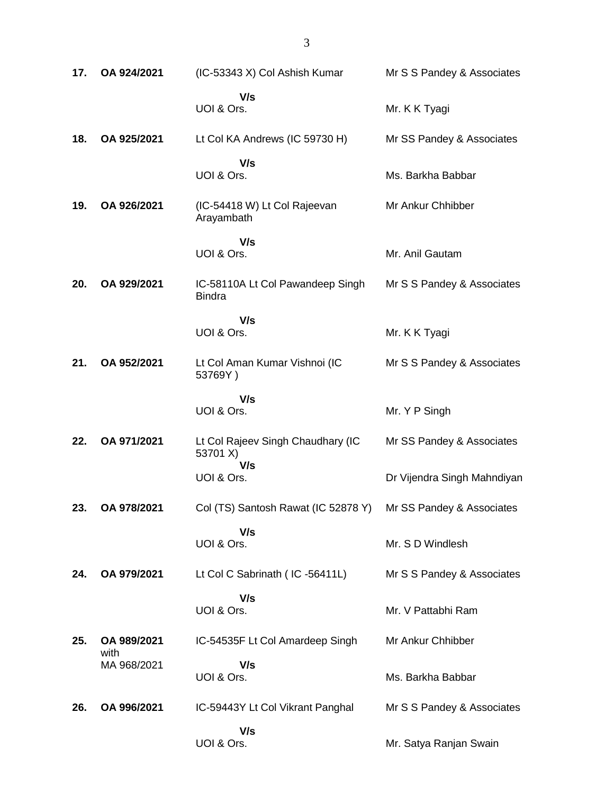| 17. | OA 924/2021         | (IC-53343 X) Col Ashish Kumar                     | Mr S S Pandey & Associates  |
|-----|---------------------|---------------------------------------------------|-----------------------------|
|     |                     | V/s<br>UOI & Ors.                                 | Mr. K K Tyagi               |
| 18. | OA 925/2021         | Lt Col KA Andrews (IC 59730 H)                    | Mr SS Pandey & Associates   |
|     |                     | V/s<br>UOI & Ors.                                 | Ms. Barkha Babbar           |
| 19. | OA 926/2021         | (IC-54418 W) Lt Col Rajeevan<br>Arayambath        | Mr Ankur Chhibber           |
|     |                     | V/s<br>UOI & Ors.                                 | Mr. Anil Gautam             |
| 20. | OA 929/2021         | IC-58110A Lt Col Pawandeep Singh<br><b>Bindra</b> | Mr S S Pandey & Associates  |
|     |                     | V/s<br>UOI & Ors.                                 | Mr. K K Tyagi               |
| 21. | OA 952/2021         | Lt Col Aman Kumar Vishnoi (IC<br>53769Y)          | Mr S S Pandey & Associates  |
|     |                     | V/s<br>UOI & Ors.                                 | Mr. Y P Singh               |
| 22. | OA 971/2021         | Lt Col Rajeev Singh Chaudhary (IC<br>53701 X)     | Mr SS Pandey & Associates   |
|     |                     | V/s<br>UOI & Ors.                                 | Dr Vijendra Singh Mahndiyan |
| 23. | OA 978/2021         | Col (TS) Santosh Rawat (IC 52878 Y)               | Mr SS Pandey & Associates   |
|     |                     | V/s<br>UOI & Ors.                                 | Mr. S D Windlesh            |
| 24. | OA 979/2021         | Lt Col C Sabrinath (IC-56411L)                    | Mr S S Pandey & Associates  |
|     |                     | V/s<br>UOI & Ors.                                 | Mr. V Pattabhi Ram          |
| 25. | OA 989/2021<br>with | IC-54535F Lt Col Amardeep Singh                   | Mr Ankur Chhibber           |
|     | MA 968/2021         | V/s<br>UOI & Ors.                                 | Ms. Barkha Babbar           |
| 26. | OA 996/2021         | IC-59443Y Lt Col Vikrant Panghal                  | Mr S S Pandey & Associates  |
|     |                     | V/s<br>UOI & Ors.                                 | Mr. Satya Ranjan Swain      |

3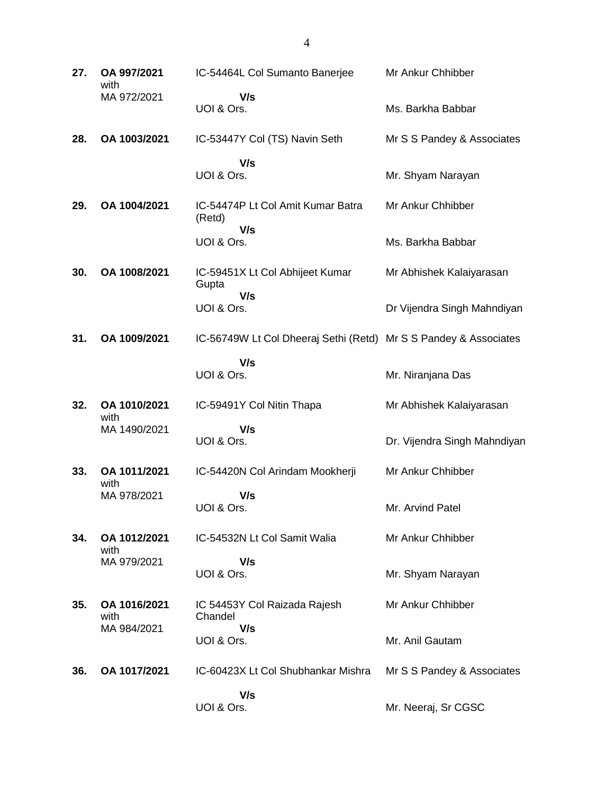| 27. | OA 997/2021<br>with  | IC-54464L Col Sumanto Banerjee                                   | Mr Ankur Chhibber            |
|-----|----------------------|------------------------------------------------------------------|------------------------------|
|     | MA 972/2021          | V/s<br>UOI & Ors.                                                | Ms. Barkha Babbar            |
| 28. | OA 1003/2021         | IC-53447Y Col (TS) Navin Seth                                    | Mr S S Pandey & Associates   |
|     |                      | V/s<br>UOI & Ors.                                                | Mr. Shyam Narayan            |
| 29. | OA 1004/2021         | IC-54474P Lt Col Amit Kumar Batra<br>(Retd)<br>V/s               | Mr Ankur Chhibber            |
|     |                      | UOI & Ors.                                                       | Ms. Barkha Babbar            |
| 30. | OA 1008/2021         | IC-59451X Lt Col Abhijeet Kumar<br>Gupta                         | Mr Abhishek Kalaiyarasan     |
|     |                      | V/s<br>UOI & Ors.                                                | Dr Vijendra Singh Mahndiyan  |
| 31. | OA 1009/2021         | IC-56749W Lt Col Dheeraj Sethi (Retd) Mr S S Pandey & Associates |                              |
|     |                      | V/s<br>UOI & Ors.                                                | Mr. Niranjana Das            |
| 32. | OA 1010/2021<br>with | IC-59491Y Col Nitin Thapa                                        | Mr Abhishek Kalaiyarasan     |
|     | MA 1490/2021         | V/s<br>UOI & Ors.                                                | Dr. Vijendra Singh Mahndiyan |
| 33. | OA 1011/2021<br>with | IC-54420N Col Arindam Mookherji                                  | Mr Ankur Chhibber            |
|     | MA 978/2021          | V/s<br>UOI & Ors.                                                | Mr. Arvind Patel             |
| 34. | OA 1012/2021<br>with | IC-54532N Lt Col Samit Walia                                     | Mr Ankur Chhibber            |
|     | MA 979/2021          | V/s<br>UOI & Ors.                                                | Mr. Shyam Narayan            |
| 35. |                      |                                                                  |                              |
|     | OA 1016/2021<br>with | IC 54453Y Col Raizada Rajesh<br>Chandel                          | Mr Ankur Chhibber            |
|     | MA 984/2021          | V/s<br>UOI & Ors.                                                | Mr. Anil Gautam              |
| 36. | OA 1017/2021         | IC-60423X Lt Col Shubhankar Mishra<br>V/s                        | Mr S S Pandey & Associates   |

4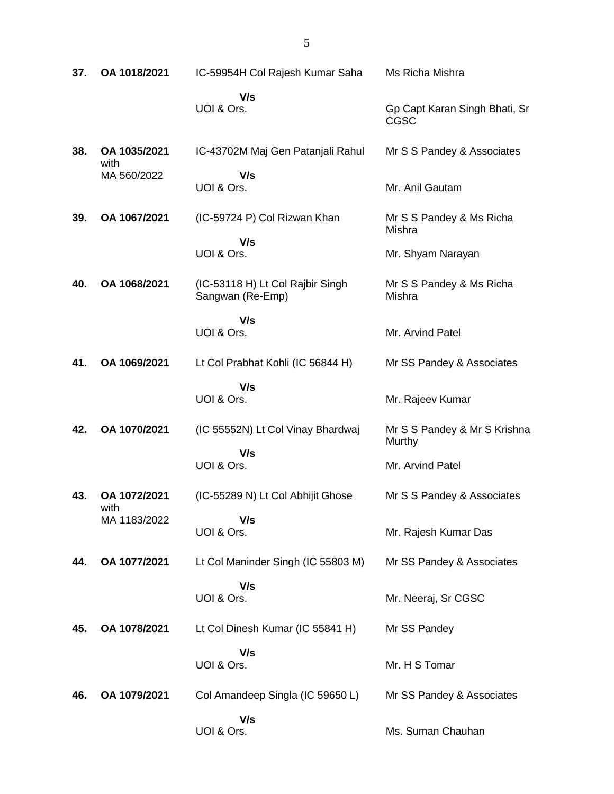| 37. | OA 1018/2021         | IC-59954H Col Rajesh Kumar Saha                      | Ms Richa Mishra                              |
|-----|----------------------|------------------------------------------------------|----------------------------------------------|
|     |                      | V/s<br>UOI & Ors.                                    | Gp Capt Karan Singh Bhati, Sr<br><b>CGSC</b> |
| 38. | OA 1035/2021<br>with | IC-43702M Maj Gen Patanjali Rahul                    | Mr S S Pandey & Associates                   |
|     | MA 560/2022          | V/s<br>UOI & Ors.                                    | Mr. Anil Gautam                              |
| 39. | OA 1067/2021         | (IC-59724 P) Col Rizwan Khan                         | Mr S S Pandey & Ms Richa<br>Mishra           |
|     |                      | V/s<br>UOI & Ors.                                    | Mr. Shyam Narayan                            |
| 40. | OA 1068/2021         | (IC-53118 H) Lt Col Rajbir Singh<br>Sangwan (Re-Emp) | Mr S S Pandey & Ms Richa<br>Mishra           |
|     |                      | V/s<br>UOI & Ors.                                    | Mr. Arvind Patel                             |
| 41. | OA 1069/2021         | Lt Col Prabhat Kohli (IC 56844 H)                    | Mr SS Pandey & Associates                    |
|     |                      | V/s<br>UOI & Ors.                                    | Mr. Rajeev Kumar                             |
| 42. | OA 1070/2021         | (IC 55552N) Lt Col Vinay Bhardwaj                    | Mr S S Pandey & Mr S Krishna<br>Murthy       |
|     |                      | V/s<br>UOI & Ors.                                    | Mr. Arvind Patel                             |
| 43. | OA 1072/2021         | (IC-55289 N) Lt Col Abhijit Ghose                    | Mr S S Pandey & Associates                   |
|     | with<br>MA 1183/2022 | V/s<br>UOI & Ors.                                    | Mr. Rajesh Kumar Das                         |
| 44. | OA 1077/2021         | Lt Col Maninder Singh (IC 55803 M)                   | Mr SS Pandey & Associates                    |
|     |                      | V/s<br>UOI & Ors.                                    | Mr. Neeraj, Sr CGSC                          |
| 45. | OA 1078/2021         | Lt Col Dinesh Kumar (IC 55841 H)                     | Mr SS Pandey                                 |
|     |                      | V/s<br>UOI & Ors.                                    | Mr. H S Tomar                                |
| 46. | OA 1079/2021         | Col Amandeep Singla (IC 59650 L)                     | Mr SS Pandey & Associates                    |
|     |                      | V/s<br>UOI & Ors.                                    | Ms. Suman Chauhan                            |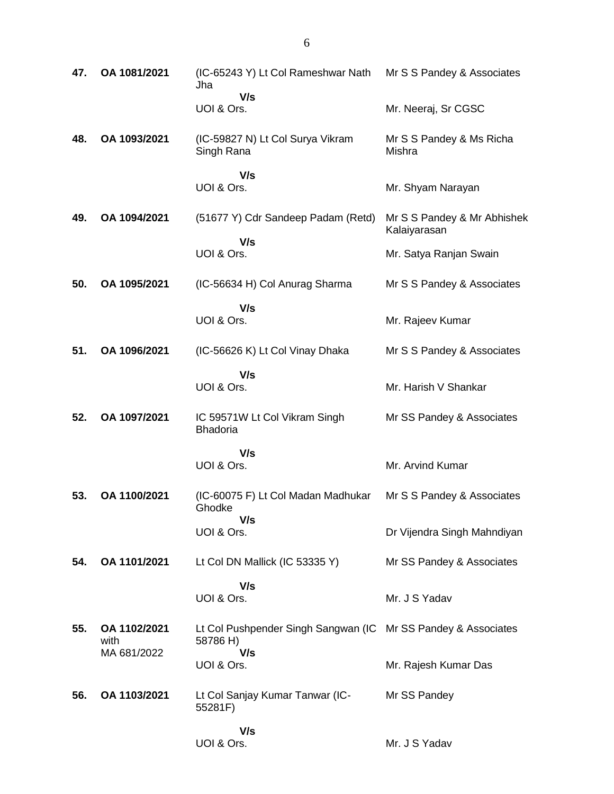| 47. | OA 1081/2021         | (IC-65243 Y) Lt Col Rameshwar Nath<br>Jha        | Mr S S Pandey & Associates                  |
|-----|----------------------|--------------------------------------------------|---------------------------------------------|
|     |                      | V/s<br>UOI & Ors.                                | Mr. Neeraj, Sr CGSC                         |
| 48. | OA 1093/2021         | (IC-59827 N) Lt Col Surya Vikram<br>Singh Rana   | Mr S S Pandey & Ms Richa<br>Mishra          |
|     |                      | V/s<br>UOI & Ors.                                | Mr. Shyam Narayan                           |
| 49. | OA 1094/2021         | (51677 Y) Cdr Sandeep Padam (Retd)               | Mr S S Pandey & Mr Abhishek<br>Kalaiyarasan |
|     |                      | V/s<br>UOI & Ors.                                | Mr. Satya Ranjan Swain                      |
| 50. | OA 1095/2021         | (IC-56634 H) Col Anurag Sharma                   | Mr S S Pandey & Associates                  |
|     |                      | V/s<br>UOI & Ors.                                | Mr. Rajeev Kumar                            |
| 51. | OA 1096/2021         | (IC-56626 K) Lt Col Vinay Dhaka                  | Mr S S Pandey & Associates                  |
|     |                      | V/s<br>UOI & Ors.                                | Mr. Harish V Shankar                        |
| 52. | OA 1097/2021         | IC 59571W Lt Col Vikram Singh<br><b>Bhadoria</b> | Mr SS Pandey & Associates                   |
|     |                      | V/s<br>UOI & Ors.                                | Mr. Arvind Kumar                            |
| 53. | OA 1100/2021         | (IC-60075 F) Lt Col Madan Madhukar<br>Ghodke     | Mr S S Pandey & Associates                  |
|     |                      | V/s<br>UOI & Ors.                                | Dr Vijendra Singh Mahndiyan                 |
| 54. | OA 1101/2021         | Lt Col DN Mallick (IC 53335 Y)                   | Mr SS Pandey & Associates                   |
|     |                      | V/s<br>UOI & Ors.                                | Mr. J S Yadav                               |
| 55. | OA 1102/2021<br>with | Lt Col Pushpender Singh Sangwan (IC<br>58786 H)  | Mr SS Pandey & Associates                   |
|     | MA 681/2022          | V/s<br>UOI & Ors.                                | Mr. Rajesh Kumar Das                        |
| 56. | OA 1103/2021         | Lt Col Sanjay Kumar Tanwar (IC-<br>55281F)       | Mr SS Pandey                                |
|     |                      | V/s<br>UOI & Ors.                                | Mr. J S Yadav                               |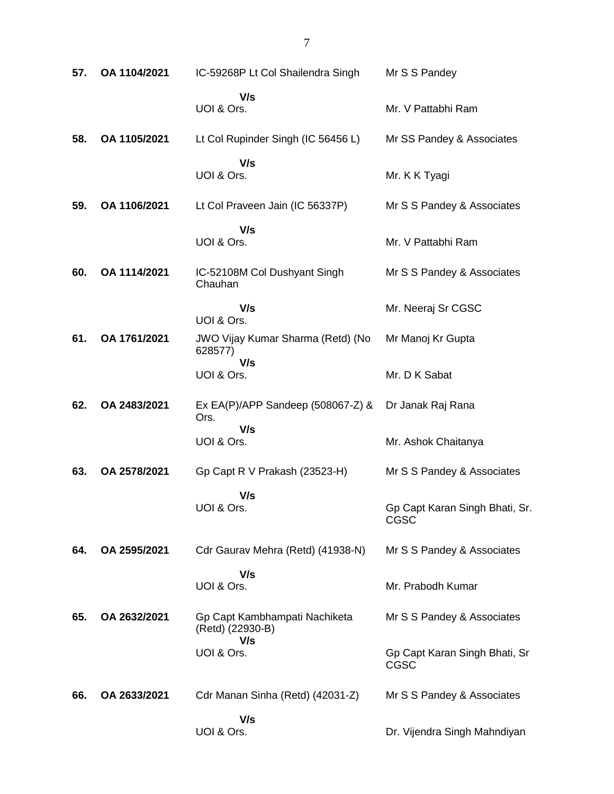| 57. | OA 1104/2021 | IC-59268P Lt Col Shailendra Singh                 | Mr S S Pandey                                |
|-----|--------------|---------------------------------------------------|----------------------------------------------|
|     |              | V/s<br>UOI & Ors.                                 | Mr. V Pattabhi Ram                           |
| 58. | OA 1105/2021 | Lt Col Rupinder Singh (IC 56456 L)                | Mr SS Pandey & Associates                    |
|     |              | V/s<br>UOI & Ors.                                 | Mr. K K Tyagi                                |
| 59. | OA 1106/2021 | Lt Col Praveen Jain (IC 56337P)                   | Mr S S Pandey & Associates                   |
|     |              | V/s<br>UOI & Ors.                                 | Mr. V Pattabhi Ram                           |
| 60. | OA 1114/2021 | IC-52108M Col Dushyant Singh<br>Chauhan           | Mr S S Pandey & Associates                   |
|     |              | V/s<br>UOI & Ors.                                 | Mr. Neeraj Sr CGSC                           |
| 61. | OA 1761/2021 | JWO Vijay Kumar Sharma (Retd) (No<br>628577)      | Mr Manoj Kr Gupta                            |
|     |              | V/s<br>UOI & Ors.                                 | Mr. D K Sabat                                |
| 62. | OA 2483/2021 | Ex EA(P)/APP Sandeep (508067-Z) &<br>Ors.         | Dr Janak Raj Rana                            |
|     |              | V/s<br>UOI & Ors.                                 | Mr. Ashok Chaitanya                          |
| 63. | OA 2578/2021 | Gp Capt R V Prakash (23523-H)                     | Mr S S Pandey & Associates                   |
|     |              | V/s<br>UOI & Ors.                                 | Gp Capt Karan Singh Bhati, Sr.<br>CGSC       |
| 64. | OA 2595/2021 | Cdr Gaurav Mehra (Retd) (41938-N)                 | Mr S S Pandey & Associates                   |
|     |              | V/s<br>UOI & Ors.                                 | Mr. Prabodh Kumar                            |
| 65. | OA 2632/2021 | Gp Capt Kambhampati Nachiketa<br>(Retd) (22930-B) | Mr S S Pandey & Associates                   |
|     |              | V/s<br>UOI & Ors.                                 | Gp Capt Karan Singh Bhati, Sr<br><b>CGSC</b> |
| 66. | OA 2633/2021 | Cdr Manan Sinha (Retd) (42031-Z)                  | Mr S S Pandey & Associates                   |
|     |              | V/s<br>UOI & Ors.                                 | Dr. Vijendra Singh Mahndiyan                 |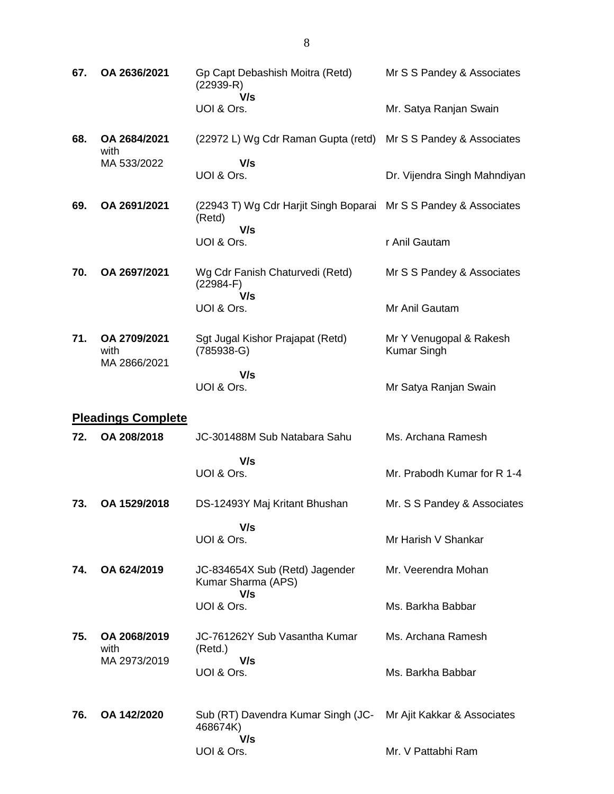| 67. | OA 2636/2021                         | Gp Capt Debashish Moitra (Retd)<br>$(22939-R)$<br>V/s                      | Mr S S Pandey & Associates                    |
|-----|--------------------------------------|----------------------------------------------------------------------------|-----------------------------------------------|
|     |                                      | UOI & Ors.                                                                 | Mr. Satya Ranjan Swain                        |
| 68. | OA 2684/2021<br>with                 | (22972 L) Wg Cdr Raman Gupta (retd)                                        | Mr S S Pandey & Associates                    |
|     | MA 533/2022                          | V/s<br>UOI & Ors.                                                          | Dr. Vijendra Singh Mahndiyan                  |
| 69. | OA 2691/2021                         | (22943 T) Wg Cdr Harjit Singh Boparai Mr S S Pandey & Associates<br>(Retd) |                                               |
|     |                                      | V/s<br>UOI & Ors.                                                          | r Anil Gautam                                 |
| 70. | OA 2697/2021                         | Wg Cdr Fanish Chaturvedi (Retd)<br>$(22984-F)$<br>V/s                      | Mr S S Pandey & Associates                    |
|     |                                      | UOI & Ors.                                                                 | Mr Anil Gautam                                |
| 71. | OA 2709/2021<br>with<br>MA 2866/2021 | Sgt Jugal Kishor Prajapat (Retd)<br>$(785938-G)$                           | Mr Y Venugopal & Rakesh<br><b>Kumar Singh</b> |
|     |                                      | V/s<br>UOI & Ors.                                                          | Mr Satya Ranjan Swain                         |
|     | <b>Pleadings Complete</b>            |                                                                            |                                               |
| 72. | OA 208/2018                          | JC-301488M Sub Natabara Sahu                                               | Ms. Archana Ramesh                            |
|     |                                      | V/s<br>UOI & Ors.                                                          | Mr. Prabodh Kumar for R 1-4                   |
| 73. | OA 1529/2018                         | DS-12493Y Maj Kritant Bhushan                                              | Mr. S S Pandey & Associates                   |
|     |                                      | V/s<br>UOI & Ors.                                                          | Mr Harish V Shankar                           |
| 74. | OA 624/2019                          | JC-834654X Sub (Retd) Jagender<br>Kumar Sharma (APS)<br>V/s                | Mr. Veerendra Mohan                           |
|     |                                      | UOI & Ors.                                                                 | Ms. Barkha Babbar                             |
| 75. | OA 2068/2019<br>with                 | JC-761262Y Sub Vasantha Kumar<br>(Retd.)                                   | Ms. Archana Ramesh                            |
|     | MA 2973/2019                         | V/s<br>UOI & Ors.                                                          | Ms. Barkha Babbar                             |
| 76. | OA 142/2020                          | Sub (RT) Davendra Kumar Singh (JC-<br>468674K)<br>V/s                      | Mr Ajit Kakkar & Associates                   |
|     |                                      | UOI & Ors.                                                                 | Mr. V Pattabhi Ram                            |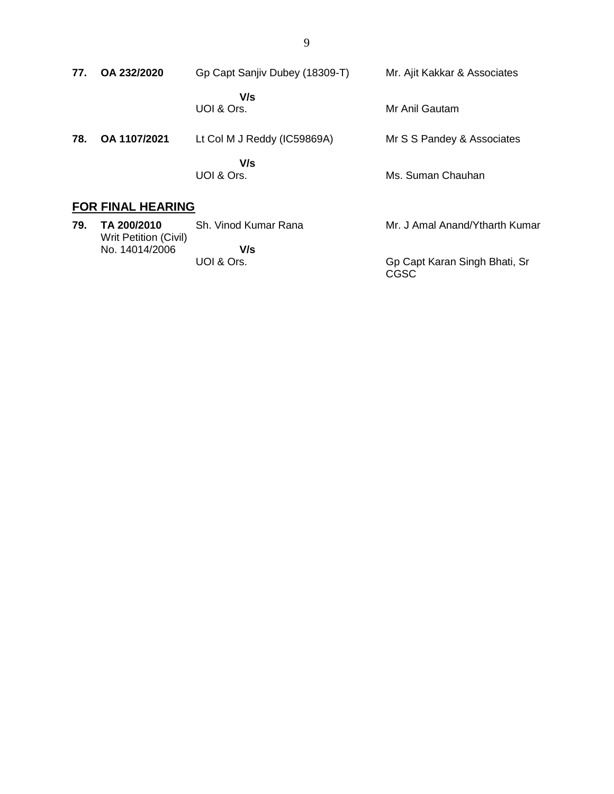| 77. | OA 232/2020              | Gp Capt Sanjiv Dubey (18309-T) | Mr. Ajit Kakkar & Associates  |
|-----|--------------------------|--------------------------------|-------------------------------|
|     |                          | V/s<br>UOI & Ors.              | Mr Anil Gautam                |
| 78. | OA 1107/2021             | Lt Col M J Reddy (IC59869A)    | Mr S S Pandey & Associates    |
|     |                          | V/s<br>UOI & Ors.              | Ms. Suman Chauhan             |
|     | <b>FOR FINAL HEARING</b> |                                |                               |
| 79. | TA 200/2010              | <b>Sh</b> Vinod Kumar Rana     | Mr. J Amal Anand/Ytharth Kuma |

**79. TA 200/2010** Writ Petition (Civil) No. 14014/2006 Sh. Vinod Kumar Rana  **V/s** UOI & Ors. Mr. J Amal Anand/Ytharth Kumar Gp Capt Karan Singh Bhati, Sr CGSC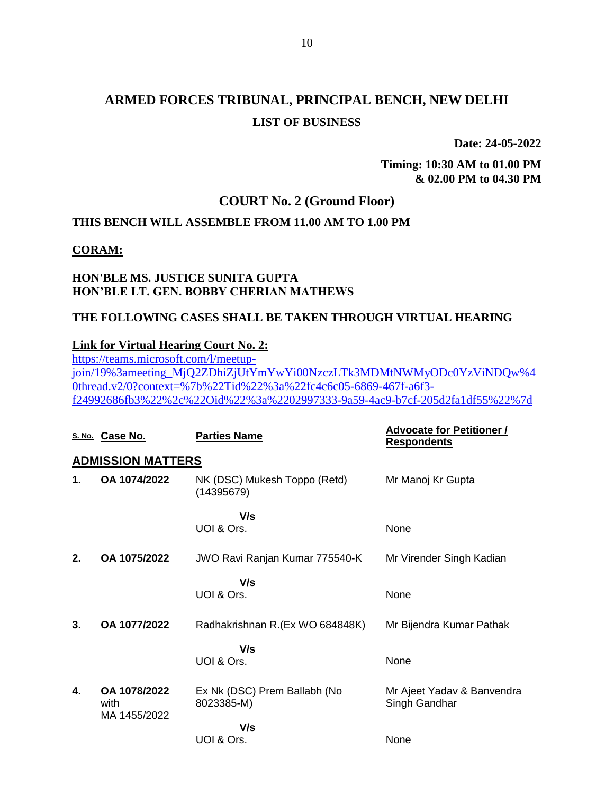**Date: 24-05-2022**

**Timing: 10:30 AM to 01.00 PM & 02.00 PM to 04.30 PM**

## **COURT No. 2 (Ground Floor)**

## **THIS BENCH WILL ASSEMBLE FROM 11.00 AM TO 1.00 PM**

### **CORAM:**

## **HON'BLE MS. JUSTICE SUNITA GUPTA HON'BLE LT. GEN. BOBBY CHERIAN MATHEWS**

### **THE FOLLOWING CASES SHALL BE TAKEN THROUGH VIRTUAL HEARING**

### **Link for Virtual Hearing Court No. 2:**

[https://teams.microsoft.com/l/meetup](https://teams.microsoft.com/l/meetup-join/19%3ameeting_MjQ2ZDhiZjUtYmYwYi00NzczLTk3MDMtNWMyODc0YzViNDQw%40thread.v2/0?context=%7b%22Tid%22%3a%22fc4c6c05-6869-467f-a6f3-f24992686fb3%22%2c%22Oid%22%3a%2202997333-9a59-4ac9-b7cf-205d2fa1df55%22%7d)[join/19%3ameeting\\_MjQ2ZDhiZjUtYmYwYi00NzczLTk3MDMtNWMyODc0YzViNDQw%4](https://teams.microsoft.com/l/meetup-join/19%3ameeting_MjQ2ZDhiZjUtYmYwYi00NzczLTk3MDMtNWMyODc0YzViNDQw%40thread.v2/0?context=%7b%22Tid%22%3a%22fc4c6c05-6869-467f-a6f3-f24992686fb3%22%2c%22Oid%22%3a%2202997333-9a59-4ac9-b7cf-205d2fa1df55%22%7d) [0thread.v2/0?context=%7b%22Tid%22%3a%22fc4c6c05-6869-467f-a6f3](https://teams.microsoft.com/l/meetup-join/19%3ameeting_MjQ2ZDhiZjUtYmYwYi00NzczLTk3MDMtNWMyODc0YzViNDQw%40thread.v2/0?context=%7b%22Tid%22%3a%22fc4c6c05-6869-467f-a6f3-f24992686fb3%22%2c%22Oid%22%3a%2202997333-9a59-4ac9-b7cf-205d2fa1df55%22%7d) [f24992686fb3%22%2c%22Oid%22%3a%2202997333-9a59-4ac9-b7cf-205d2fa1df55%22%7d](https://teams.microsoft.com/l/meetup-join/19%3ameeting_MjQ2ZDhiZjUtYmYwYi00NzczLTk3MDMtNWMyODc0YzViNDQw%40thread.v2/0?context=%7b%22Tid%22%3a%22fc4c6c05-6869-467f-a6f3-f24992686fb3%22%2c%22Oid%22%3a%2202997333-9a59-4ac9-b7cf-205d2fa1df55%22%7d)

|    | S. No. Case No.                      | <b>Parties Name</b>                        | <b>Advocate for Petitioner /</b><br><b>Respondents</b> |
|----|--------------------------------------|--------------------------------------------|--------------------------------------------------------|
|    | <b>ADMISSION MATTERS</b>             |                                            |                                                        |
| 1. | OA 1074/2022                         | NK (DSC) Mukesh Toppo (Retd)<br>(14395679) | Mr Manoj Kr Gupta                                      |
|    |                                      | V/s<br>UOI & Ors.                          | None                                                   |
| 2. | OA 1075/2022                         | JWO Ravi Ranjan Kumar 775540-K             | Mr Virender Singh Kadian                               |
|    |                                      | V/s<br>UOI & Ors.                          | None                                                   |
|    |                                      |                                            |                                                        |
| 3. | OA 1077/2022                         | Radhakrishnan R.(Ex WO 684848K)            | Mr Bijendra Kumar Pathak                               |
|    |                                      | V/s<br>UOI & Ors.                          | None                                                   |
| 4. | OA 1078/2022<br>with<br>MA 1455/2022 | Ex Nk (DSC) Prem Ballabh (No<br>8023385-M) | Mr Ajeet Yadav & Banvendra<br>Singh Gandhar            |
|    |                                      | V/s<br>UOI & Ors.                          | None                                                   |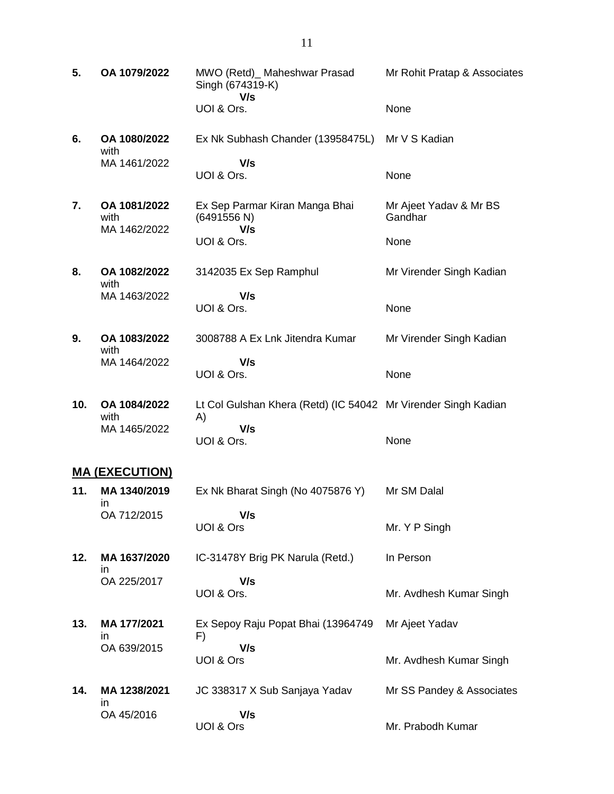- **5. OA 1079/2022** MWO (Retd)\_ Maheshwar Prasad Singh (674319-K)  **V/s** UOI & Ors. Mr Rohit Pratap & Associates None **6. OA 1080/2022** with MA 1461/2022 Ex Nk Subhash Chander (13958475L)  **V/s** UOI & Ors. Mr V S Kadian None **7. OA 1081/2022** with MA 1462/2022 Ex Sep Parmar Kiran Manga Bhai (6491556 N)  **V/s** UOI & Ors. Mr Ajeet Yadav & Mr BS Gandhar None **8. OA 1082/2022** with MA 1463/2022 3142035 Ex Sep Ramphul  **V/s** UOI & Ors. Mr Virender Singh Kadian None **9. OA 1083/2022** with MA 1464/2022 3008788 A Ex Lnk Jitendra Kumar  **V/s** UOI & Ors. Mr Virender Singh Kadian None **10. OA 1084/2022** with MA 1465/2022 Lt Col Gulshan Khera (Retd) (IC 54042 Mr Virender Singh Kadian A)  **V/s** UOI & Ors. None **MA (EXECUTION) 11. MA 1340/2019** in OA 712/2015 Ex Nk Bharat Singh (No 4075876 Y)  **V/s** UOI & Ors Mr SM Dalal Mr. Y P Singh **12. MA 1637/2020** in IC-31478Y Brig PK Narula (Retd.) In Person
- **13. MA 177/2021** in OA 639/2015 Ex Sepoy Raju Popat Bhai (13964749 F)  **V/s** UOI & Ors Mr Ajeet Yadav Mr. Avdhesh Kumar Singh

Mr. Avdhesh Kumar Singh

 **V/s**

UOI & Ors.

OA 225/2017

**14. MA 1238/2021** in OA 45/2016 JC 338317 X Sub Sanjaya Yadav  **V/s** UOI & Ors Mr SS Pandey & Associates Mr. Prabodh Kumar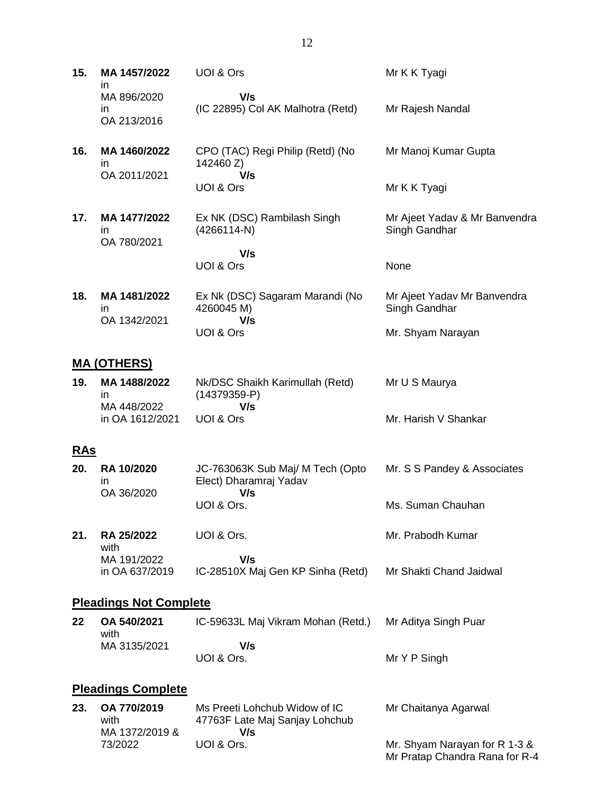**15. MA 1457/2022** in MA 896/2020 in OA 213/2016 UOI & Ors  **V/s** (IC 22895) Col AK Malhotra (Retd) Mr K K Tyagi Mr Rajesh Nandal **16. MA 1460/2022** in OA 2011/2021 CPO (TAC) Regi Philip (Retd) (No 142460 Z)  **V/s** UOI & Ors Mr Manoj Kumar Gupta Mr K K Tyagi **17. MA 1477/2022** in OA 780/2021 Ex NK (DSC) Rambilash Singh (4266114-N)  **V/s** UOI & Ors Mr Ajeet Yadav & Mr Banvendra Singh Gandhar None **18. MA 1481/2022** in OA 1342/2021 Ex Nk (DSC) Sagaram Marandi (No 4260045 M)  **V/s** Mr Ajeet Yadav Mr Banvendra Singh Gandhar

#### **MA (OTHERS)**

| 19. | MA 1488/2022<br>ın | Nk/DSC Shaikh Karimullah (Retd)<br>$(14379359-P)$ | Mr U S Maurya        |
|-----|--------------------|---------------------------------------------------|----------------------|
|     | MA 448/2022        | V/s                                               |                      |
|     | in OA 1612/2021    | UOL& Ors                                          | Mr. Harish V Shankar |

Mr. Shyam Narayan

UOI & Ors

### **RAs**

| 20. | <b>RA 10/2020</b><br>ın<br>OA 36/2020 | JC-763063K Sub Maj/ M Tech (Opto<br>Elect) Dharamraj Yadav<br>V/s | Mr. S S Pandey & Associates |  |
|-----|---------------------------------------|-------------------------------------------------------------------|-----------------------------|--|
|     |                                       | UOI & Ors.                                                        | Ms. Suman Chauhan           |  |
| 21. | <b>RA 25/2022</b><br>with             | UOI & Ors.                                                        | Mr. Prabodh Kumar           |  |

MA 191/2022 in OA 637/2019  **V/s** IC-28510X Maj Gen KP Sinha (Retd) Mr Shakti Chand Jaidwal

### **Pleadings Not Complete**

| 22 <sub>2</sub> | OA 540/2021<br>with | IC-59633L Maj Vikram Mohan (Retd.) | Mr Aditya Singh Puar |
|-----------------|---------------------|------------------------------------|----------------------|
|                 | MA 3135/2021        | V/s                                |                      |
|                 |                     | UOI & Ors.                         | Mr Y P Singh         |

#### **Pleadings Complete**

| 23. | OA 770/2019    | Ms Preeti Lohchub Widow of IC  | Mr Chaitanya Agarwal           |
|-----|----------------|--------------------------------|--------------------------------|
|     | with           | 47763F Late Maj Sanjay Lohchub |                                |
|     | MA 1372/2019 & | V/s                            |                                |
|     | 73/2022        | UOI & Ors.                     | Mr. Shyam Narayan for R 1-3 &  |
|     |                |                                | Mr Pratap Chandra Rana for R-4 |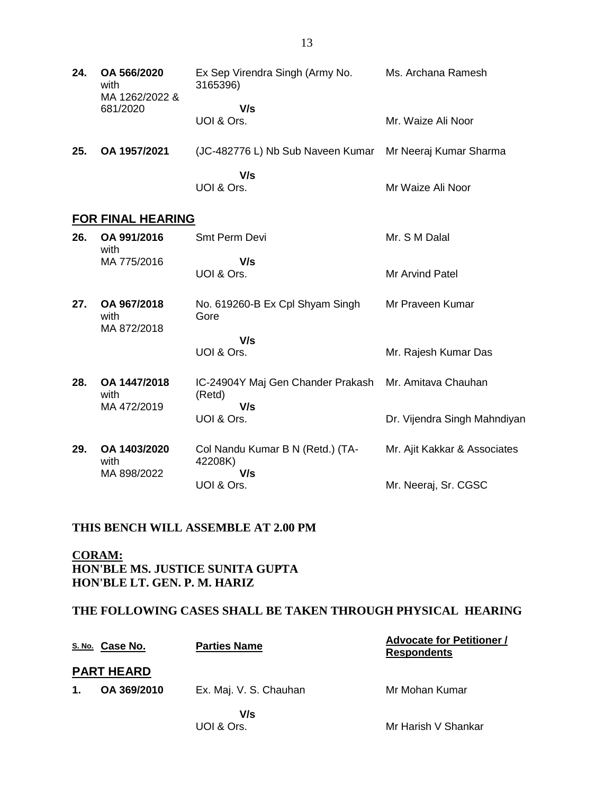| 24. | OA 566/2020<br>with<br>MA 1262/2022 & | Ex Sep Virendra Singh (Army No.<br>3165396)              | Ms. Archana Ramesh |
|-----|---------------------------------------|----------------------------------------------------------|--------------------|
|     | 681/2020                              | V/s<br>UOI & Ors.                                        | Mr. Waize Ali Noor |
| 25. | OA 1957/2021                          | (JC-482776 L) Nb Sub Naveen Kumar Mr Neeraj Kumar Sharma |                    |
|     |                                       | V/s<br>UOI & Ors.                                        | Mr Waize Ali Noor  |

## **FOR FINAL HEARING**

| 26. | OA 991/2016<br>with                 | Smt Perm Devi                                                          | Mr. S M Dalal                |
|-----|-------------------------------------|------------------------------------------------------------------------|------------------------------|
|     | MA 775/2016                         | V/s<br>UOI & Ors.                                                      | Mr Arvind Patel              |
| 27. | OA 967/2018<br>with<br>MA 872/2018  | No. 619260-B Ex Cpl Shyam Singh<br>Gore                                | Mr Praveen Kumar             |
|     |                                     | V/s                                                                    |                              |
|     |                                     | UOI & Ors.                                                             | Mr. Rajesh Kumar Das         |
| 28. | OA 1447/2018<br>with<br>MA 472/2019 | IC-24904Y Maj Gen Chander Prakash Mr. Amitava Chauhan<br>(Retd)<br>V/s |                              |
|     |                                     | UOI & Ors.                                                             | Dr. Vijendra Singh Mahndiyan |
| 29. | OA 1403/2020<br>with<br>MA 898/2022 | Col Nandu Kumar B N (Retd.) (TA-<br>42208K)<br>V/s                     | Mr. Ajit Kakkar & Associates |
|     |                                     | UOI & Ors.                                                             | Mr. Neeraj, Sr. CGSC         |
|     |                                     |                                                                        |                              |

#### **THIS BENCH WILL ASSEMBLE AT 2.00 PM**

**CORAM: HON'BLE MS. JUSTICE SUNITA GUPTA HON'BLE LT. GEN. P. M. HARIZ**

## **THE FOLLOWING CASES SHALL BE TAKEN THROUGH PHYSICAL HEARING**

|               | S. No. Case No.   | <b>Parties Name</b>    | <b>Advocate for Petitioner /</b><br><b>Respondents</b> |
|---------------|-------------------|------------------------|--------------------------------------------------------|
|               | <b>PART HEARD</b> |                        |                                                        |
| $\mathbf 1$ . | OA 369/2010       | Ex. Maj. V. S. Chauhan | Mr Mohan Kumar                                         |
|               |                   | V/s                    |                                                        |
|               |                   | UOI & Ors.             | Mr Harish V Shankar                                    |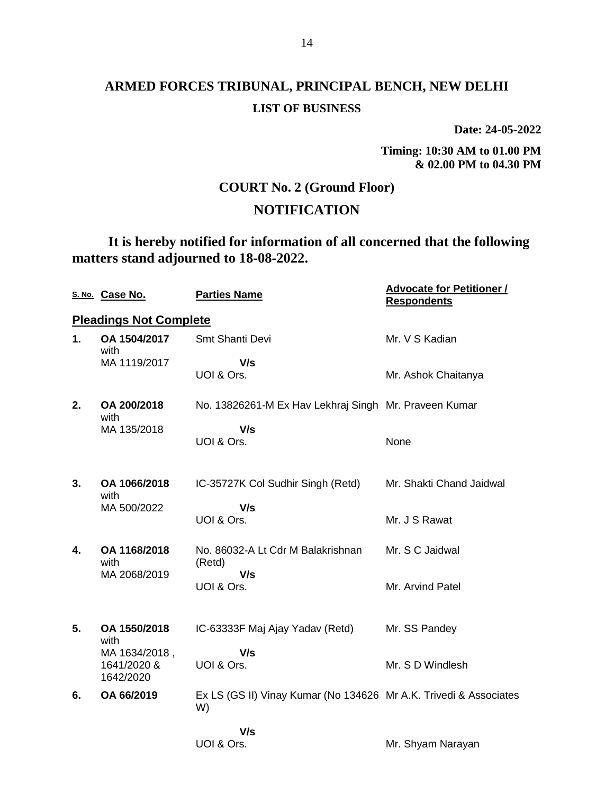**Date: 24-05-2022**

**Timing: 10:30 AM to 01.00 PM & 02.00 PM to 04.30 PM**

Mr. Shyam Narayan

## **COURT No. 2 (Ground Floor)**

## **NOTIFICATION**

**It is hereby notified for information of all concerned that the following matters stand adjourned to 18-08-2022.**

|                | S. No. Case No.                           | <b>Parties Name</b>                                                     | <b>Advocate for Petitioner /</b><br><b>Respondents</b> |
|----------------|-------------------------------------------|-------------------------------------------------------------------------|--------------------------------------------------------|
|                | <b>Pleadings Not Complete</b>             |                                                                         |                                                        |
| $\mathbf{1}$ . | OA 1504/2017<br>with                      | Smt Shanti Devi                                                         | Mr. V S Kadian                                         |
|                | MA 1119/2017                              | V/s<br>UOI & Ors.                                                       | Mr. Ashok Chaitanya                                    |
| 2.             | OA 200/2018<br>with                       | No. 13826261-M Ex Hav Lekhraj Singh Mr. Praveen Kumar                   |                                                        |
|                | MA 135/2018                               | V/s<br>UOI & Ors.                                                       | None                                                   |
| 3.             | OA 1066/2018<br>with                      | IC-35727K Col Sudhir Singh (Retd)                                       | Mr. Shakti Chand Jaidwal                               |
|                | MA 500/2022                               | V/s<br>UOI & Ors.                                                       | Mr. J S Rawat                                          |
| 4.             | OA 1168/2018<br>with                      | No. 86032-A Lt Cdr M Balakrishnan<br>(Retd)                             | Mr. S C Jaidwal                                        |
|                | MA 2068/2019                              | V/s<br>UOI & Ors.                                                       | Mr. Arvind Patel                                       |
| 5.             | OA 1550/2018<br>with                      | IC-63333F Maj Ajay Yadav (Retd)                                         | Mr. SS Pandey                                          |
|                | MA 1634/2018,<br>1641/2020 &<br>1642/2020 | V/s<br>UOI & Ors.                                                       | Mr. S D Windlesh                                       |
| 6.             | OA 66/2019                                | Ex LS (GS II) Vinay Kumar (No 134626 Mr A.K. Trivedi & Associates<br>W) |                                                        |
|                |                                           | V/s                                                                     |                                                        |

UOI & Ors.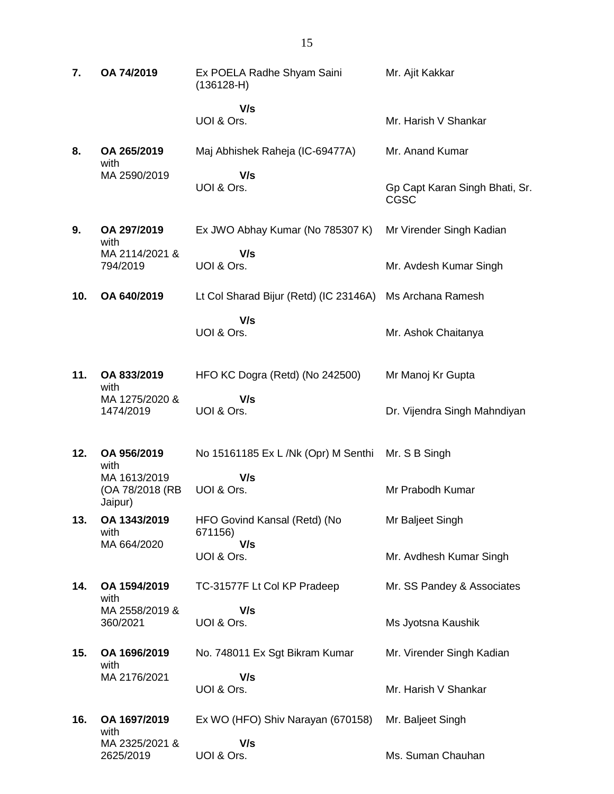| 7.  | OA 74/2019                                 | Ex POELA Radhe Shyam Saini<br>$(136128-H)$ | Mr. Ajit Kakkar                               |
|-----|--------------------------------------------|--------------------------------------------|-----------------------------------------------|
|     |                                            | V/s<br>UOI & Ors.                          | Mr. Harish V Shankar                          |
| 8.  | OA 265/2019<br>with                        | Maj Abhishek Raheja (IC-69477A)            | Mr. Anand Kumar                               |
|     | MA 2590/2019                               | V/s<br>UOI & Ors.                          | Gp Capt Karan Singh Bhati, Sr.<br><b>CGSC</b> |
| 9.  | OA 297/2019<br>with                        | Ex JWO Abhay Kumar (No 785307 K)           | Mr Virender Singh Kadian                      |
|     | MA 2114/2021 &<br>794/2019                 | V/s<br>UOI & Ors.                          | Mr. Avdesh Kumar Singh                        |
| 10. | OA 640/2019                                | Lt Col Sharad Bijur (Retd) (IC 23146A)     | Ms Archana Ramesh                             |
|     |                                            | V/s<br>UOI & Ors.                          | Mr. Ashok Chaitanya                           |
| 11. | OA 833/2019<br>with                        | HFO KC Dogra (Retd) (No 242500)            | Mr Manoj Kr Gupta                             |
|     | MA 1275/2020 &<br>1474/2019                | V/s<br>UOI & Ors.                          | Dr. Vijendra Singh Mahndiyan                  |
| 12. | OA 956/2019<br>with                        | No 15161185 Ex L /Nk (Opr) M Senthi        | Mr. S B Singh                                 |
|     | MA 1613/2019<br>(OA 78/2018 (RB<br>Jaipur) | V/s<br>UOI & Ors.                          | Mr Prabodh Kumar                              |
| 13. | OA 1343/2019<br>with                       | HFO Govind Kansal (Retd) (No<br>671156)    | Mr Baljeet Singh                              |
|     | MA 664/2020                                | V/s<br>UOI & Ors.                          | Mr. Avdhesh Kumar Singh                       |
| 14. | OA 1594/2019<br>with                       | TC-31577F Lt Col KP Pradeep                | Mr. SS Pandey & Associates                    |
|     | MA 2558/2019 &<br>360/2021                 | V/s<br>UOI & Ors.                          | Ms Jyotsna Kaushik                            |
| 15. | OA 1696/2019<br>with                       | No. 748011 Ex Sgt Bikram Kumar             | Mr. Virender Singh Kadian                     |
|     | MA 2176/2021                               | V/s<br>UOI & Ors.                          | Mr. Harish V Shankar                          |
| 16. | OA 1697/2019                               | Ex WO (HFO) Shiv Narayan (670158)          | Mr. Baljeet Singh                             |
|     | with<br>MA 2325/2021 &<br>2625/2019        | V/s<br>UOI & Ors.                          | Ms. Suman Chauhan                             |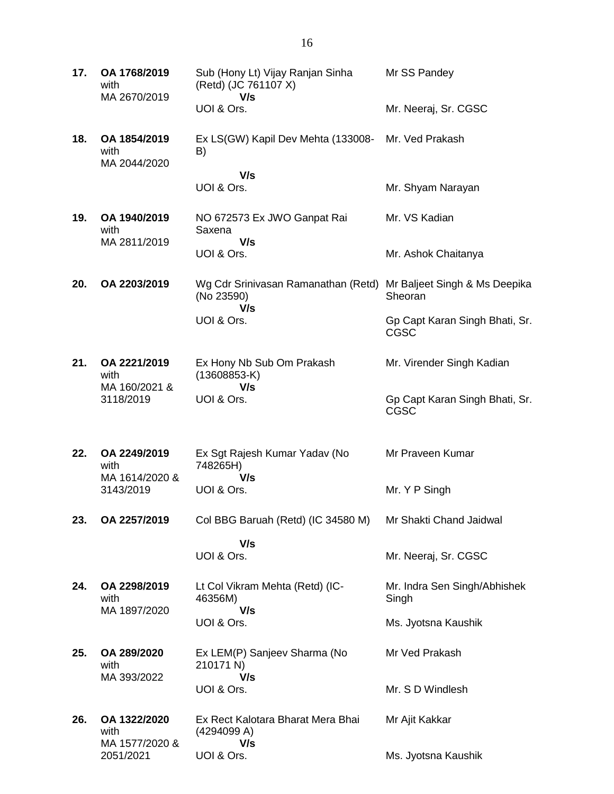| 17. | OA 1768/2019<br>with<br>MA 2670/2019   | Sub (Hony Lt) Vijay Ranjan Sinha<br>(Retd) (JC 761107 X)<br>V/s | Mr SS Pandey                                  |
|-----|----------------------------------------|-----------------------------------------------------------------|-----------------------------------------------|
|     |                                        | UOI & Ors.                                                      | Mr. Neeraj, Sr. CGSC                          |
| 18. | OA 1854/2019<br>with<br>MA 2044/2020   | Ex LS(GW) Kapil Dev Mehta (133008-<br>B)                        | Mr. Ved Prakash                               |
|     |                                        | V/s<br>UOI & Ors.                                               | Mr. Shyam Narayan                             |
| 19. | OA 1940/2019<br>with<br>MA 2811/2019   | NO 672573 Ex JWO Ganpat Rai<br>Saxena<br>V/s                    | Mr. VS Kadian                                 |
|     |                                        | UOI & Ors.                                                      | Mr. Ashok Chaitanya                           |
| 20. | OA 2203/2019                           | Wg Cdr Srinivasan Ramanathan (Retd)<br>(No 23590)<br>V/s        | Mr Baljeet Singh & Ms Deepika<br>Sheoran      |
|     |                                        | UOI & Ors.                                                      | Gp Capt Karan Singh Bhati, Sr.<br><b>CGSC</b> |
| 21. | OA 2221/2019<br>with                   | Ex Hony Nb Sub Om Prakash<br>$(13608853-K)$                     | Mr. Virender Singh Kadian                     |
|     | MA 160/2021 &<br>3118/2019             | V/s<br>UOI & Ors.                                               | Gp Capt Karan Singh Bhati, Sr.<br>CGSC        |
| 22. | OA 2249/2019<br>with                   | Ex Sgt Rajesh Kumar Yadav (No<br>748265H)                       | Mr Praveen Kumar                              |
|     | MA 1614/2020 &<br>3143/2019            | V/s<br>UOI & Ors.                                               | Mr. Y P Singh                                 |
| 23. | OA 2257/2019                           | Col BBG Baruah (Retd) (IC 34580 M)                              | Mr Shakti Chand Jaidwal                       |
|     |                                        | V/s<br>UOI & Ors.                                               | Mr. Neeraj, Sr. CGSC                          |
| 24. | OA 2298/2019<br>with<br>MA 1897/2020   | Lt Col Vikram Mehta (Retd) (IC-<br>46356M)<br>V/s               | Mr. Indra Sen Singh/Abhishek<br>Singh         |
|     |                                        | UOI & Ors.                                                      | Ms. Jyotsna Kaushik                           |
| 25. | OA 289/2020<br>with<br>MA 393/2022     | Ex LEM(P) Sanjeev Sharma (No<br>210171 N)<br>V/s                | Mr Ved Prakash                                |
|     |                                        | UOI & Ors.                                                      | Mr. S D Windlesh                              |
| 26. | OA 1322/2020<br>with<br>MA 1577/2020 & | Ex Rect Kalotara Bharat Mera Bhai<br>(4294099 A)<br>V/s         | Mr Ajit Kakkar                                |
|     | 2051/2021                              | UOI & Ors.                                                      | Ms. Jyotsna Kaushik                           |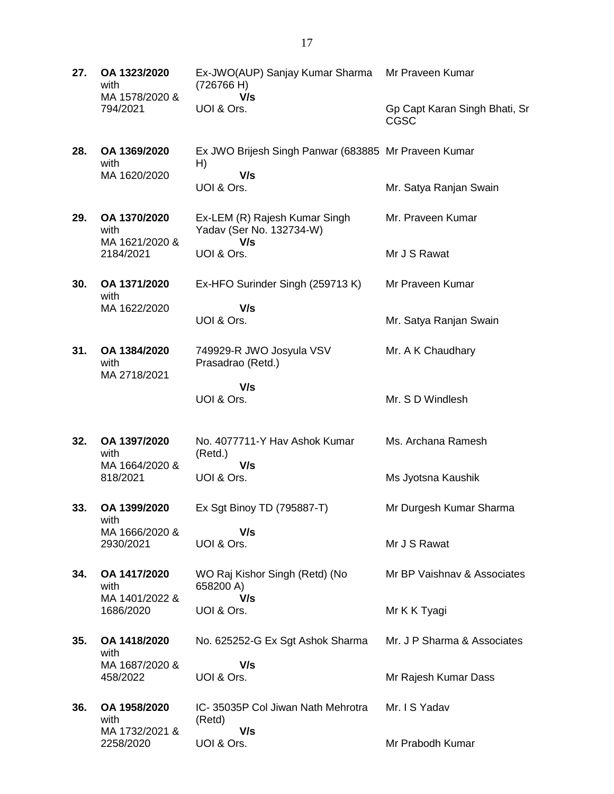| 27. | OA 1323/2020<br>with                   | Ex-JWO(AUP) Sanjay Kumar Sharma<br>(726766 H)                     | Mr Praveen Kumar                             |
|-----|----------------------------------------|-------------------------------------------------------------------|----------------------------------------------|
|     | MA 1578/2020 &<br>794/2021             | V/s<br>UOI & Ors.                                                 | Gp Capt Karan Singh Bhati, Sr<br><b>CGSC</b> |
| 28. | OA 1369/2020<br>with<br>MA 1620/2020   | Ex JWO Brijesh Singh Panwar (683885 Mr Praveen Kumar<br>H)<br>V/s |                                              |
|     |                                        | UOI & Ors.                                                        | Mr. Satya Ranjan Swain                       |
| 29. | OA 1370/2020<br>with<br>MA 1621/2020 & | Ex-LEM (R) Rajesh Kumar Singh<br>Yadav (Ser No. 132734-W)<br>V/s  | Mr. Praveen Kumar                            |
|     | 2184/2021                              | UOI & Ors.                                                        | Mr J S Rawat                                 |
| 30. | OA 1371/2020<br>with                   | Ex-HFO Surinder Singh (259713 K)                                  | Mr Praveen Kumar                             |
|     | MA 1622/2020                           | V/s<br>UOI & Ors.                                                 | Mr. Satya Ranjan Swain                       |
| 31. | OA 1384/2020<br>with<br>MA 2718/2021   | 749929-R JWO Josyula VSV<br>Prasadrao (Retd.)                     | Mr. A K Chaudhary                            |
|     |                                        | V/s<br>UOI & Ors.                                                 | Mr. S D Windlesh                             |
| 32. | OA 1397/2020<br>with                   | No. 4077711-Y Hav Ashok Kumar<br>(Retd.)                          | Ms. Archana Ramesh                           |
|     | MA 1664/2020 &<br>818/2021             | V/s<br>UOI & Ors.                                                 | Ms Jyotsna Kaushik                           |
| 33. | OA 1399/2020<br>with                   | Ex Sgt Binoy TD (795887-T)                                        | Mr Durgesh Kumar Sharma                      |
|     | MA 1666/2020 &<br>2930/2021            | V/s<br>UOI & Ors.                                                 | Mr J S Rawat                                 |
| 34. | OA 1417/2020<br>with                   | WO Raj Kishor Singh (Retd) (No<br>658200 A)                       | Mr BP Vaishnav & Associates                  |
|     | MA 1401/2022 &<br>1686/2020            | V/s<br>UOI & Ors.                                                 | Mr K K Tyagi                                 |
| 35. | OA 1418/2020<br>with                   | No. 625252-G Ex Sgt Ashok Sharma                                  | Mr. J P Sharma & Associates                  |
|     | MA 1687/2020 &<br>458/2022             | V/s<br>UOI & Ors.                                                 | Mr Rajesh Kumar Dass                         |
| 36. | OA 1958/2020<br>with                   | IC-35035P Col Jiwan Nath Mehrotra<br>(Retd)                       | Mr. I S Yadav                                |
|     | MA 1732/2021 &<br>2258/2020            | V/s<br>UOI & Ors.                                                 | Mr Prabodh Kumar                             |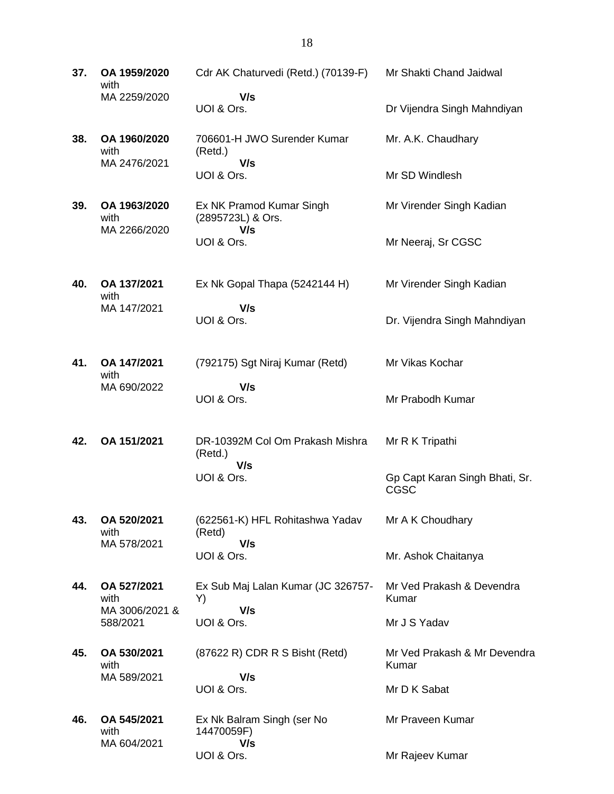**37. OA 1959/2020** with MA 2259/2020 Cdr AK Chaturvedi (Retd.) (70139-F)  **V/s** UOI & Ors. Mr Shakti Chand Jaidwal Dr Vijendra Singh Mahndiyan **38. OA 1960/2020** with MA 2476/2021 706601-H JWO Surender Kumar (Retd.)  **V/s** UOI & Ors. Mr. A.K. Chaudhary Mr SD Windlesh **39. OA 1963/2020** with MA 2266/2020 Ex NK Pramod Kumar Singh (2895723L) & Ors.  **V/s** UOI & Ors. Mr Virender Singh Kadian Mr Neeraj, Sr CGSC **40. OA 137/2021** with MA 147/2021 Ex Nk Gopal Thapa (5242144 H)  **V/s** UOI & Ors. Mr Virender Singh Kadian Dr. Vijendra Singh Mahndiyan **41. OA 147/2021** with MA 690/2022 (792175) Sgt Niraj Kumar (Retd)  **V/s** UOI & Ors. Mr Vikas Kochar Mr Prabodh Kumar **42. OA 151/2021** DR-10392M Col Om Prakash Mishra (Retd.)  **V/s** UOI & Ors. Mr R K Tripathi Gp Capt Karan Singh Bhati, Sr. CGSC **43. OA 520/2021** with MA 578/2021 (622561-K) HFL Rohitashwa Yadav (Retd)  **V/s** UOI & Ors. Mr A K Choudhary Mr. Ashok Chaitanya **44. OA 527/2021** with MA 3006/2021 & 588/2021 Ex Sub Maj Lalan Kumar (JC 326757- Y)  **V/s** UOI & Ors. Mr Ved Prakash & Devendra Kumar Mr J S Yadav **45. OA 530/2021** with MA 589/2021 (87622 R) CDR R S Bisht (Retd)  **V/s** UOI & Ors. Mr Ved Prakash & Mr Devendra Kumar Mr D K Sabat **46. OA 545/2021** with MA 604/2021 Ex Nk Balram Singh (ser No 14470059F)  **V/s** Mr Praveen Kumar

Mr Rajeev Kumar

UOI & Ors.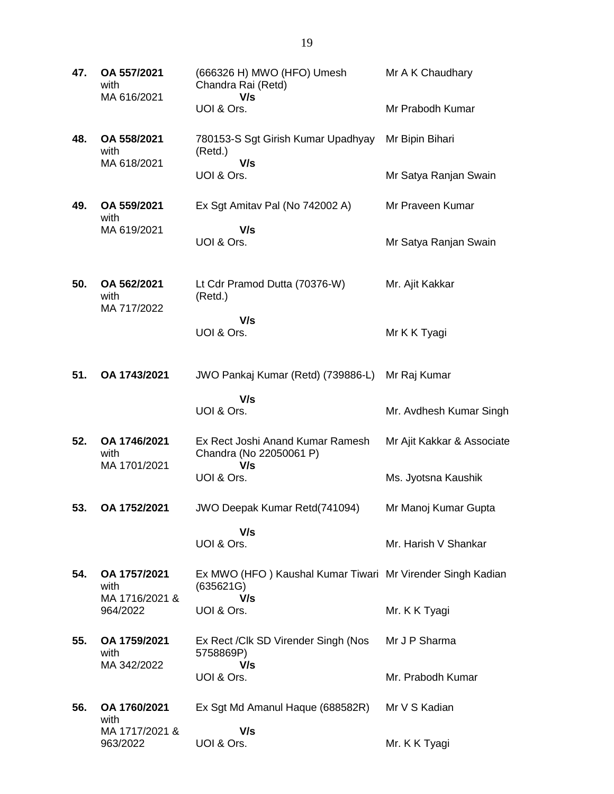| 47. | OA 557/2021<br>with<br>MA 616/2021   | (666326 H) MWO (HFO) Umesh<br>Chandra Rai (Retd)<br>V/s                 | Mr A K Chaudhary           |
|-----|--------------------------------------|-------------------------------------------------------------------------|----------------------------|
|     |                                      | UOI & Ors.                                                              | Mr Prabodh Kumar           |
| 48. | OA 558/2021<br>with<br>MA 618/2021   | 780153-S Sgt Girish Kumar Upadhyay<br>(Retd.)<br>V/s                    | Mr Bipin Bihari            |
|     |                                      | UOI & Ors.                                                              | Mr Satya Ranjan Swain      |
| 49. | OA 559/2021<br>with                  | Ex Sgt Amitav Pal (No 742002 A)                                         | Mr Praveen Kumar           |
|     | MA 619/2021                          | V/s<br>UOI & Ors.                                                       | Mr Satya Ranjan Swain      |
| 50. | OA 562/2021<br>with<br>MA 717/2022   | Lt Cdr Pramod Dutta (70376-W)<br>(Retd.)                                | Mr. Ajit Kakkar            |
|     |                                      | V/s<br>UOI & Ors.                                                       | Mr K K Tyagi               |
| 51. | OA 1743/2021                         | JWO Pankaj Kumar (Retd) (739886-L)                                      | Mr Raj Kumar               |
|     |                                      | V/s<br>UOI & Ors.                                                       | Mr. Avdhesh Kumar Singh    |
| 52. | OA 1746/2021<br>with<br>MA 1701/2021 | Ex Rect Joshi Anand Kumar Ramesh<br>Chandra (No 22050061 P)<br>V/s      | Mr Ajit Kakkar & Associate |
|     |                                      | UOI & Ors.                                                              | Ms. Jyotsna Kaushik        |
| 53. | OA 1752/2021                         | <b>JWO Deepak Kumar Retd(741094)</b>                                    | Mr Manoj Kumar Gupta       |
|     |                                      | V/s<br>UOI & Ors.                                                       | Mr. Harish V Shankar       |
| 54. | OA 1757/2021<br>with                 | Ex MWO (HFO) Kaushal Kumar Tiwari Mr Virender Singh Kadian<br>(635621G) |                            |
|     | MA 1716/2021 &<br>964/2022           | V/s<br>UOI & Ors.                                                       | Mr. K K Tyagi              |
| 55. | OA 1759/2021<br>with<br>MA 342/2022  | Ex Rect / Clk SD Virender Singh (Nos<br>5758869P)<br>V/s                | Mr J P Sharma              |
|     |                                      | UOI & Ors.                                                              | Mr. Prabodh Kumar          |
| 56. | OA 1760/2021<br>with                 | Ex Sgt Md Amanul Haque (688582R)                                        | Mr V S Kadian              |
|     | MA 1717/2021 &<br>963/2022           | V/s<br>UOI & Ors.                                                       | Mr. K K Tyagi              |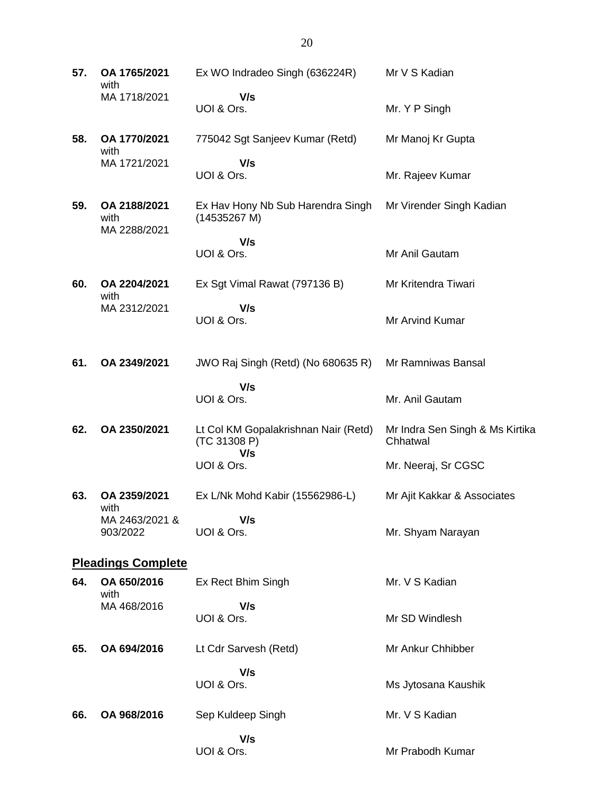**57. OA 1765/2021** with MA 1718/2021 Ex WO Indradeo Singh (636224R)  **V/s** UOI & Ors. Mr V S Kadian Mr. Y P Singh **58. OA 1770/2021** with MA 1721/2021 775042 Sgt Sanjeev Kumar (Retd)  **V/s** UOI & Ors. Mr Manoj Kr Gupta Mr. Rajeev Kumar **59. OA 2188/2021** with MA 2288/2021 Ex Hav Hony Nb Sub Harendra Singh (14535267 M)  **V/s** UOI & Ors. Mr Virender Singh Kadian Mr Anil Gautam **60. OA 2204/2021** with MA 2312/2021 Ex Sgt Vimal Rawat (797136 B)  **V/s** UOI & Ors. Mr Kritendra Tiwari Mr Arvind Kumar **61. OA 2349/2021** JWO Raj Singh (Retd) (No 680635 R)  **V/s** UOI & Ors. Mr Ramniwas Bansal Mr. Anil Gautam **62. OA 2350/2021** Lt Col KM Gopalakrishnan Nair (Retd) (TC 31308 P)  **V/s** UOI & Ors. Mr Indra Sen Singh & Ms Kirtika **Chhatwal** Mr. Neeraj, Sr CGSC **63. OA 2359/2021** with MA 2463/2021 & 903/2022 Ex L/Nk Mohd Kabir (15562986-L)  **V/s** UOI & Ors. Mr Ajit Kakkar & Associates Mr. Shyam Narayan **Pleadings Complete 64. OA 650/2016** with MA 468/2016 Ex Rect Bhim Singh  **V/s** UOI & Ors. Mr. V S Kadian Mr SD Windlesh **65. OA 694/2016** Lt Cdr Sarvesh (Retd)  **V/s** UOI & Ors. Mr Ankur Chhibber Ms Jytosana Kaushik **66. OA 968/2016** Sep Kuldeep Singh  **V/s** UOI & Ors. Mr. V S Kadian Mr Prabodh Kumar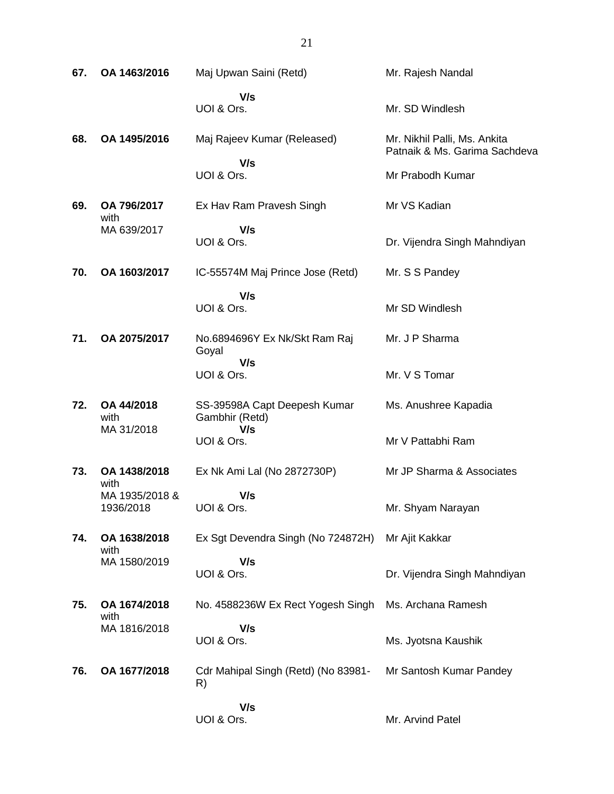| 67. | OA 1463/2016                | Maj Upwan Saini (Retd)                         | Mr. Rajesh Nandal                                             |
|-----|-----------------------------|------------------------------------------------|---------------------------------------------------------------|
|     |                             | V/s<br>UOI & Ors.                              | Mr. SD Windlesh                                               |
| 68. | OA 1495/2016                | Maj Rajeev Kumar (Released)                    | Mr. Nikhil Palli, Ms. Ankita<br>Patnaik & Ms. Garima Sachdeva |
|     |                             | V/s<br>UOI & Ors.                              | Mr Prabodh Kumar                                              |
| 69. | OA 796/2017<br>with         | Ex Hav Ram Pravesh Singh                       | Mr VS Kadian                                                  |
|     | MA 639/2017                 | V/s<br>UOI & Ors.                              | Dr. Vijendra Singh Mahndiyan                                  |
| 70. | OA 1603/2017                | IC-55574M Maj Prince Jose (Retd)               | Mr. S S Pandey                                                |
|     |                             | V/s<br>UOI & Ors.                              | Mr SD Windlesh                                                |
| 71. | OA 2075/2017                | No.6894696Y Ex Nk/Skt Ram Raj<br>Goyal         | Mr. J P Sharma                                                |
|     |                             | V/s<br>UOI & Ors.                              | Mr. V S Tomar                                                 |
| 72. | OA 44/2018<br>with          | SS-39598A Capt Deepesh Kumar<br>Gambhir (Retd) | Ms. Anushree Kapadia                                          |
|     | MA 31/2018                  | V/s<br>UOI & Ors.                              | Mr V Pattabhi Ram                                             |
| 73. | OA 1438/2018<br>with        | Ex Nk Ami Lal (No 2872730P)                    | Mr JP Sharma & Associates                                     |
|     | MA 1935/2018 &<br>1936/2018 | V/s<br>UOI & Ors.                              | Mr. Shyam Narayan                                             |
| 74. | OA 1638/2018<br>with        | Ex Sgt Devendra Singh (No 724872H)             | Mr Ajit Kakkar                                                |
|     | MA 1580/2019                | V/s<br>UOI & Ors.                              | Dr. Vijendra Singh Mahndiyan                                  |
| 75. | OA 1674/2018<br>with        | No. 4588236W Ex Rect Yogesh Singh              | Ms. Archana Ramesh                                            |
|     | MA 1816/2018                | V/s<br>UOI & Ors.                              | Ms. Jyotsna Kaushik                                           |
| 76. | OA 1677/2018                | Cdr Mahipal Singh (Retd) (No 83981-<br>R)      | Mr Santosh Kumar Pandey                                       |
|     |                             | V/s<br>UOI & Ors.                              | Mr. Arvind Patel                                              |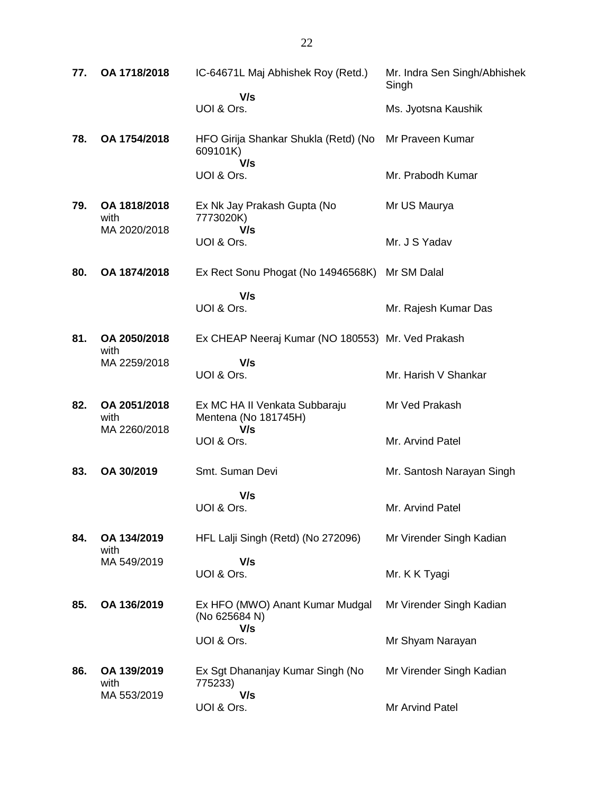| 77. | OA 1718/2018                         | IC-64671L Maj Abhishek Roy (Retd.)                           | Mr. Indra Sen Singh/Abhishek<br>Singh |
|-----|--------------------------------------|--------------------------------------------------------------|---------------------------------------|
|     |                                      | V/s<br>UOI & Ors.                                            | Ms. Jyotsna Kaushik                   |
| 78. | OA 1754/2018                         | HFO Girija Shankar Shukla (Retd) (No<br>609101K)<br>V/s      | Mr Praveen Kumar                      |
|     |                                      | UOI & Ors.                                                   | Mr. Prabodh Kumar                     |
| 79. | OA 1818/2018<br>with<br>MA 2020/2018 | Ex Nk Jay Prakash Gupta (No<br>7773020K)<br>V/s              | Mr US Maurya                          |
|     |                                      | UOI & Ors.                                                   | Mr. J S Yadav                         |
| 80. | OA 1874/2018                         | Ex Rect Sonu Phogat (No 14946568K)                           | Mr SM Dalal                           |
|     |                                      | V/s<br>UOI & Ors.                                            | Mr. Rajesh Kumar Das                  |
| 81. | OA 2050/2018<br>with                 | Ex CHEAP Neeraj Kumar (NO 180553) Mr. Ved Prakash            |                                       |
|     | MA 2259/2018                         | V/s<br>UOI & Ors.                                            | Mr. Harish V Shankar                  |
| 82. | OA 2051/2018<br>with                 | Ex MC HA II Venkata Subbaraju<br>Mentena (No 181745H)<br>V/s | Mr Ved Prakash                        |
|     | MA 2260/2018                         | UOI & Ors.                                                   | Mr. Arvind Patel                      |
| 83. | OA 30/2019                           | Smt. Suman Devi                                              | Mr. Santosh Narayan Singh             |
|     |                                      | V/s<br>UOI & Ors.                                            | Mr. Arvind Patel                      |
| 84. | OA 134/2019<br>with                  | HFL Lalji Singh (Retd) (No 272096)                           | Mr Virender Singh Kadian              |
|     | MA 549/2019                          | V/s<br>UOI & Ors.                                            | Mr. K K Tyagi                         |
| 85. | OA 136/2019                          | Ex HFO (MWO) Anant Kumar Mudgal<br>(No 625684 N)<br>V/s      | Mr Virender Singh Kadian              |
|     |                                      | UOI & Ors.                                                   | Mr Shyam Narayan                      |
| 86. | OA 139/2019<br>with<br>MA 553/2019   | Ex Sgt Dhananjay Kumar Singh (No<br>775233)<br>V/s           | Mr Virender Singh Kadian              |
|     |                                      | UOI & Ors.                                                   | Mr Arvind Patel                       |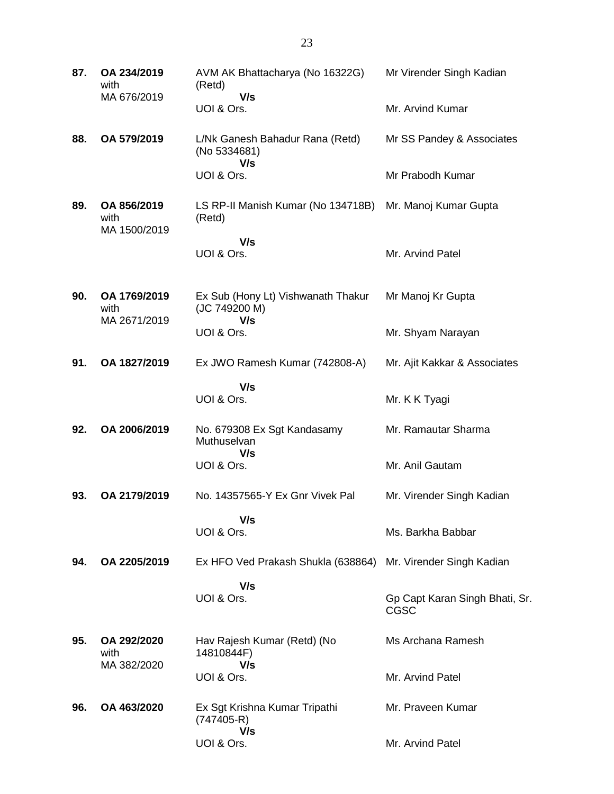| 87. | OA 234/2019<br>with                  | AVM AK Bhattacharya (No 16322G)<br>(Retd)                    | Mr Virender Singh Kadian                      |
|-----|--------------------------------------|--------------------------------------------------------------|-----------------------------------------------|
|     | MA 676/2019                          | V/s<br>UOI & Ors.                                            | Mr. Arvind Kumar                              |
| 88. | OA 579/2019                          | L/Nk Ganesh Bahadur Rana (Retd)<br>(No 5334681)<br>V/s       | Mr SS Pandey & Associates                     |
|     |                                      | UOI & Ors.                                                   | Mr Prabodh Kumar                              |
| 89. | OA 856/2019<br>with<br>MA 1500/2019  | LS RP-II Manish Kumar (No 134718B)<br>(Retd)                 | Mr. Manoj Kumar Gupta                         |
|     |                                      | V/s<br>UOI & Ors.                                            | Mr. Arvind Patel                              |
| 90. | OA 1769/2019<br>with<br>MA 2671/2019 | Ex Sub (Hony Lt) Vishwanath Thakur<br>(JC 749200 M)<br>V/s   | Mr Manoj Kr Gupta                             |
|     |                                      | UOI & Ors.                                                   | Mr. Shyam Narayan                             |
| 91. | OA 1827/2019                         | Ex JWO Ramesh Kumar (742808-A)                               | Mr. Ajit Kakkar & Associates                  |
|     |                                      | V/s<br>UOI & Ors.                                            | Mr. K K Tyagi                                 |
| 92. | OA 2006/2019                         | No. 679308 Ex Sgt Kandasamy<br>Muthuselvan                   | Mr. Ramautar Sharma                           |
|     |                                      | V/s<br>UOI & Ors.                                            | Mr. Anil Gautam                               |
| 93. | OA 2179/2019                         | No. 14357565-Y Ex Gnr Vivek Pal                              | Mr. Virender Singh Kadian                     |
|     |                                      | V/s<br>UOI & Ors.                                            | Ms. Barkha Babbar                             |
| 94. | OA 2205/2019                         | Ex HFO Ved Prakash Shukla (638864) Mr. Virender Singh Kadian |                                               |
|     |                                      | V/s<br>UOI & Ors.                                            | Gp Capt Karan Singh Bhati, Sr.<br><b>CGSC</b> |
| 95. | OA 292/2020<br>with                  | Hav Rajesh Kumar (Retd) (No<br>14810844F)                    | Ms Archana Ramesh                             |
|     | MA 382/2020                          | V/s<br>UOI & Ors.                                            | Mr. Arvind Patel                              |
| 96. | OA 463/2020                          | Ex Sgt Krishna Kumar Tripathi<br>$(747405-R)$<br>V/s         | Mr. Praveen Kumar                             |
|     |                                      | UOI & Ors.                                                   | Mr. Arvind Patel                              |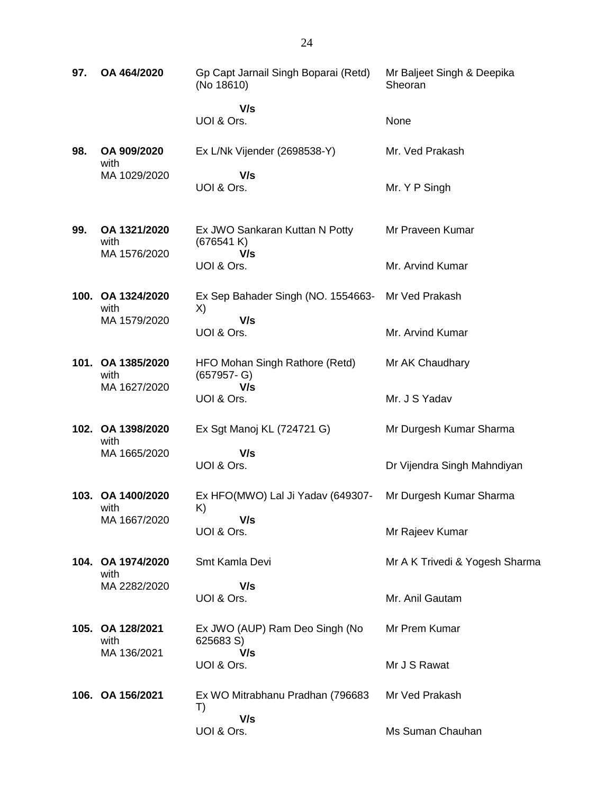| 97. | OA 464/2020                          | Gp Capt Jarnail Singh Boparai (Retd)<br>(No 18610) | Mr Baljeet Singh & Deepika<br>Sheoran |
|-----|--------------------------------------|----------------------------------------------------|---------------------------------------|
|     |                                      | V/s<br>UOI & Ors.                                  | None                                  |
| 98. | OA 909/2020<br>with                  | Ex L/Nk Vijender (2698538-Y)                       | Mr. Ved Prakash                       |
|     | MA 1029/2020                         | V/s<br>UOI & Ors.                                  | Mr. Y P Singh                         |
| 99. | OA 1321/2020<br>with<br>MA 1576/2020 | Ex JWO Sankaran Kuttan N Potty<br>(676541 K)       | Mr Praveen Kumar                      |
|     |                                      | V/s<br>UOI & Ors.                                  | Mr. Arvind Kumar                      |
|     | 100. OA 1324/2020<br>with            | Ex Sep Bahader Singh (NO. 1554663-<br>X)           | Mr Ved Prakash                        |
|     | MA 1579/2020                         | V/s<br>UOI & Ors.                                  | Mr. Arvind Kumar                      |
|     | 101. OA 1385/2020<br>with            | HFO Mohan Singh Rathore (Retd)<br>$(657957 - G)$   | Mr AK Chaudhary                       |
|     | MA 1627/2020                         | V/s<br>UOI & Ors.                                  | Mr. J S Yadav                         |
|     | 102. OA 1398/2020<br>with            | Ex Sgt Manoj KL (724721 G)                         | Mr Durgesh Kumar Sharma               |
|     | MA 1665/2020                         | V/s<br>UOI & Ors.                                  | Dr Vijendra Singh Mahndiyan           |
|     | 103. OA 1400/2020<br>with            | Ex HFO(MWO) Lal Ji Yadav (649307-<br>K)            | Mr Durgesh Kumar Sharma               |
|     | MA 1667/2020                         | V/s<br>UOI & Ors.                                  | Mr Rajeev Kumar                       |
|     | 104. OA 1974/2020<br>with            | Smt Kamla Devi                                     | Mr A K Trivedi & Yogesh Sharma        |
|     | MA 2282/2020                         | V/s<br>UOI & Ors.                                  | Mr. Anil Gautam                       |
|     | 105. OA 128/2021<br>with             | Ex JWO (AUP) Ram Deo Singh (No<br>625683 S)        | Mr Prem Kumar                         |
|     | MA 136/2021                          | V/s<br>UOI & Ors.                                  | Mr J S Rawat                          |
|     | 106. OA 156/2021                     | Ex WO Mitrabhanu Pradhan (796683<br>T)             | Mr Ved Prakash                        |
|     |                                      | V/s<br>UOI & Ors.                                  | Ms Suman Chauhan                      |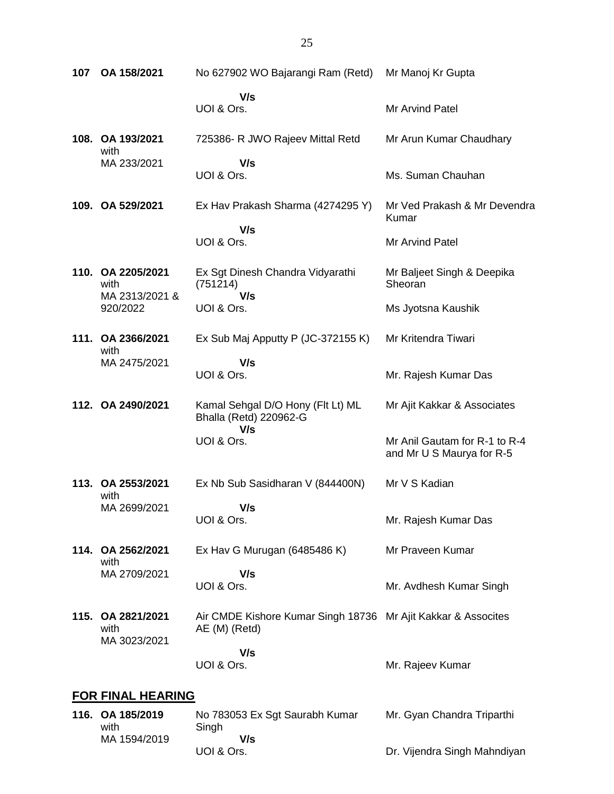| 107 | OA 158/2021                                 | No 627902 WO Bajarangi Ram (Retd)                                              | Mr Manoj Kr Gupta                                          |
|-----|---------------------------------------------|--------------------------------------------------------------------------------|------------------------------------------------------------|
|     |                                             | V/s<br>UOI & Ors.                                                              | Mr Arvind Patel                                            |
|     | 108. OA 193/2021<br>with                    | 725386- R JWO Rajeev Mittal Retd                                               | Mr Arun Kumar Chaudhary                                    |
|     | MA 233/2021                                 | V/s<br>UOI & Ors.                                                              | Ms. Suman Chauhan                                          |
|     | 109. OA 529/2021                            | Ex Hav Prakash Sharma (4274295 Y)                                              | Mr Ved Prakash & Mr Devendra<br>Kumar                      |
|     |                                             | V/s<br>UOI & Ors.                                                              | Mr Arvind Patel                                            |
|     | 110. OA 2205/2021<br>with<br>MA 2313/2021 & | Ex Sgt Dinesh Chandra Vidyarathi<br>(751214)<br>V/s                            | Mr Baljeet Singh & Deepika<br>Sheoran                      |
|     | 920/2022                                    | UOI & Ors.                                                                     | Ms Jyotsna Kaushik                                         |
|     | 111. OA 2366/2021<br>with                   | Ex Sub Maj Apputty P (JC-372155 K)                                             | Mr Kritendra Tiwari                                        |
|     | MA 2475/2021                                | V/s<br>UOI & Ors.                                                              | Mr. Rajesh Kumar Das                                       |
|     | 112. OA 2490/2021                           | Kamal Sehgal D/O Hony (Flt Lt) ML<br>Bhalla (Retd) 220962-G<br>V/s             | Mr Ajit Kakkar & Associates                                |
|     |                                             | UOI & Ors.                                                                     | Mr Anil Gautam for R-1 to R-4<br>and Mr U S Maurya for R-5 |
|     | 113. OA 2553/2021<br>with                   | Ex Nb Sub Sasidharan V (844400N)                                               | Mr V S Kadian                                              |
|     | MA 2699/2021                                | V/s<br>UOI & Ors.                                                              | Mr. Rajesh Kumar Das                                       |
|     | 114. OA 2562/2021<br>with                   | Ex Hav G Murugan (6485486 K)                                                   | Mr Praveen Kumar                                           |
|     | MA 2709/2021                                | V/s<br>UOI & Ors.                                                              | Mr. Avdhesh Kumar Singh                                    |
|     | 115. OA 2821/2021<br>with<br>MA 3023/2021   | Air CMDE Kishore Kumar Singh 18736 Mr Ajit Kakkar & Assocites<br>AE (M) (Retd) |                                                            |
|     |                                             | V/s<br>UOI & Ors.                                                              | Mr. Rajeev Kumar                                           |
|     | <b>FOR FINAL HEARING</b>                    |                                                                                |                                                            |
|     | 116. OA 185/2019                            | No 783053 Ex Sgt Saurabh Kumar                                                 | Mr. Gyan Chandra Triparthi                                 |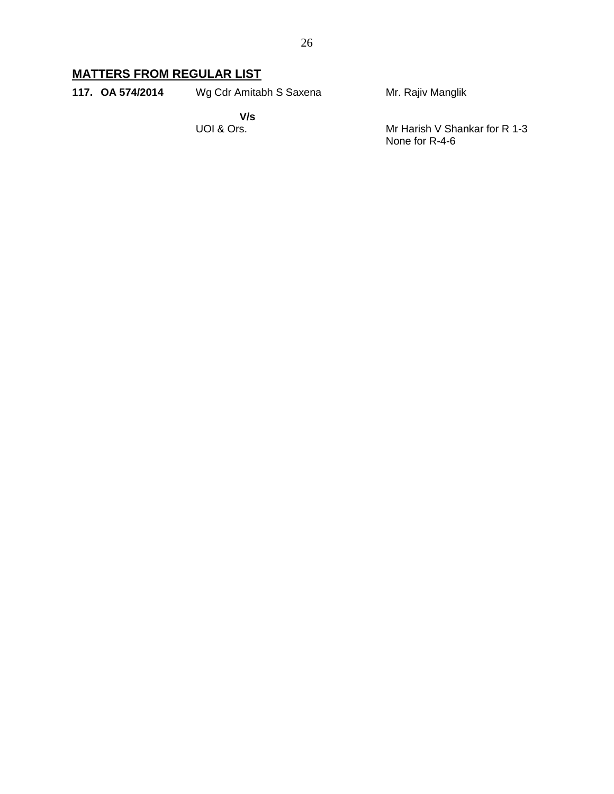# **MATTERS FROM REGULAR LIST**

**117. OA 574/2014** Wg Cdr Amitabh S Saxena Mr. Rajiv Manglik

> **V/s** UOI & Ors.

Mr Harish V Shankar for R 1-3 None for R-4-6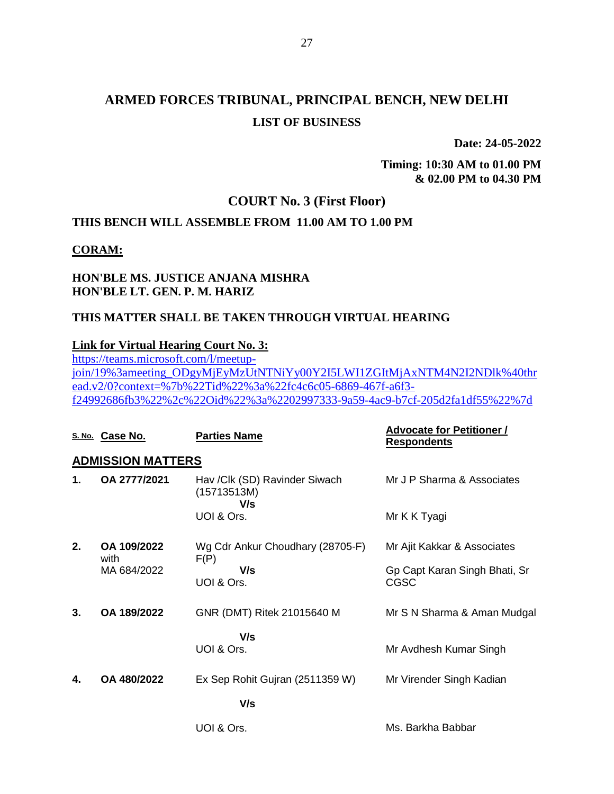**Date: 24-05-2022**

**Timing: 10:30 AM to 01.00 PM & 02.00 PM to 04.30 PM**

## **COURT No. 3 (First Floor)**

## **THIS BENCH WILL ASSEMBLE FROM 11.00 AM TO 1.00 PM**

### **CORAM:**

### **HON'BLE MS. JUSTICE ANJANA MISHRA HON'BLE LT. GEN. P. M. HARIZ**

### **THIS MATTER SHALL BE TAKEN THROUGH VIRTUAL HEARING**

#### **Link for Virtual Hearing Court No. 3:**

[https://teams.microsoft.com/l/meetup](https://teams.microsoft.com/l/meetup-join/19%3ameeting_ODgyMjEyMzUtNTNiYy00Y2I5LWI1ZGItMjAxNTM4N2I2NDlk%40thread.v2/0?context=%7b%22Tid%22%3a%22fc4c6c05-6869-467f-a6f3-f24992686fb3%22%2c%22Oid%22%3a%2202997333-9a59-4ac9-b7cf-205d2fa1df55%22%7d)[join/19%3ameeting\\_ODgyMjEyMzUtNTNiYy00Y2I5LWI1ZGItMjAxNTM4N2I2NDlk%40thr](https://teams.microsoft.com/l/meetup-join/19%3ameeting_ODgyMjEyMzUtNTNiYy00Y2I5LWI1ZGItMjAxNTM4N2I2NDlk%40thread.v2/0?context=%7b%22Tid%22%3a%22fc4c6c05-6869-467f-a6f3-f24992686fb3%22%2c%22Oid%22%3a%2202997333-9a59-4ac9-b7cf-205d2fa1df55%22%7d) [ead.v2/0?context=%7b%22Tid%22%3a%22fc4c6c05-6869-467f-a6f3](https://teams.microsoft.com/l/meetup-join/19%3ameeting_ODgyMjEyMzUtNTNiYy00Y2I5LWI1ZGItMjAxNTM4N2I2NDlk%40thread.v2/0?context=%7b%22Tid%22%3a%22fc4c6c05-6869-467f-a6f3-f24992686fb3%22%2c%22Oid%22%3a%2202997333-9a59-4ac9-b7cf-205d2fa1df55%22%7d) [f24992686fb3%22%2c%22Oid%22%3a%2202997333-9a59-4ac9-b7cf-205d2fa1df55%22%7d](https://teams.microsoft.com/l/meetup-join/19%3ameeting_ODgyMjEyMzUtNTNiYy00Y2I5LWI1ZGItMjAxNTM4N2I2NDlk%40thread.v2/0?context=%7b%22Tid%22%3a%22fc4c6c05-6869-467f-a6f3-f24992686fb3%22%2c%22Oid%22%3a%2202997333-9a59-4ac9-b7cf-205d2fa1df55%22%7d)

|    | S. No. Case No.          | <b>Parties Name</b>                                 | <b>Advocate for Petitioner /</b><br><b>Respondents</b> |
|----|--------------------------|-----------------------------------------------------|--------------------------------------------------------|
|    | <b>ADMISSION MATTERS</b> |                                                     |                                                        |
| 1. | OA 2777/2021             | Hav /Clk (SD) Ravinder Siwach<br>(15713513M)<br>V/s | Mr J P Sharma & Associates                             |
|    |                          | UOI & Ors.                                          | Mr K K Tyagi                                           |
| 2. | OA 109/2022<br>with      | Wg Cdr Ankur Choudhary (28705-F)<br>F(P)            | Mr Ajit Kakkar & Associates                            |
|    | MA 684/2022              | V/s<br>UOI & Ors.                                   | Gp Capt Karan Singh Bhati, Sr<br><b>CGSC</b>           |
| 3. | OA 189/2022              | GNR (DMT) Ritek 21015640 M                          | Mr S N Sharma & Aman Mudgal                            |
|    |                          | V/s                                                 |                                                        |
|    |                          | UOI & Ors.                                          | Mr Avdhesh Kumar Singh                                 |
| 4. | OA 480/2022              | Ex Sep Rohit Gujran (2511359 W)                     | Mr Virender Singh Kadian                               |
|    |                          | V/s                                                 |                                                        |
|    |                          | UOI & Ors.                                          | Ms. Barkha Babbar                                      |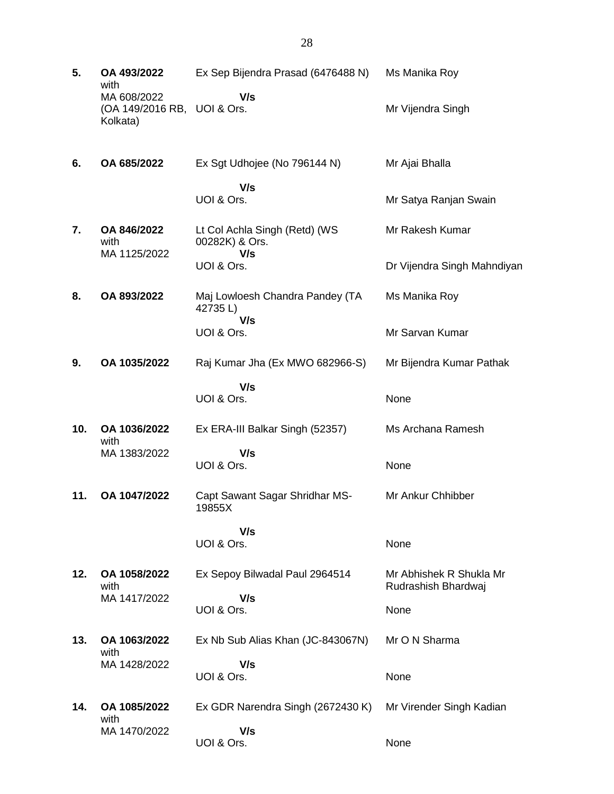| 5.  | OA 493/2022<br>with                                    | Ex Sep Bijendra Prasad (6476488 N)                | Ms Manika Roy                                  |
|-----|--------------------------------------------------------|---------------------------------------------------|------------------------------------------------|
|     | MA 608/2022<br>(OA 149/2016 RB, UOI & Ors.<br>Kolkata) | V/s                                               | Mr Vijendra Singh                              |
| 6.  | OA 685/2022                                            | Ex Sgt Udhojee (No 796144 N)                      | Mr Ajai Bhalla                                 |
|     |                                                        | V/s<br>UOI & Ors.                                 | Mr Satya Ranjan Swain                          |
| 7.  | OA 846/2022<br>with                                    | Lt Col Achla Singh (Retd) (WS<br>00282K) & Ors.   | Mr Rakesh Kumar                                |
|     | MA 1125/2022                                           | V/s<br>UOI & Ors.                                 | Dr Vijendra Singh Mahndiyan                    |
| 8.  | OA 893/2022                                            | Maj Lowloesh Chandra Pandey (TA<br>42735L)<br>V/s | Ms Manika Roy                                  |
|     |                                                        | UOI & Ors.                                        | Mr Sarvan Kumar                                |
| 9.  | OA 1035/2022                                           | Raj Kumar Jha (Ex MWO 682966-S)                   | Mr Bijendra Kumar Pathak                       |
|     |                                                        | V/s<br>UOI & Ors.                                 | None                                           |
| 10. | OA 1036/2022<br>with                                   | Ex ERA-III Balkar Singh (52357)                   | Ms Archana Ramesh                              |
|     | MA 1383/2022                                           | V/s<br>UOI & Ors.                                 | None                                           |
| 11. | OA 1047/2022                                           | Capt Sawant Sagar Shridhar MS-<br>19855X          | Mr Ankur Chhibber                              |
|     |                                                        | V/s<br>UOI & Ors.                                 | None                                           |
| 12. | OA 1058/2022<br>with                                   | Ex Sepoy Bilwadal Paul 2964514                    | Mr Abhishek R Shukla Mr<br>Rudrashish Bhardwaj |
|     | MA 1417/2022                                           | V/s<br>UOI & Ors.                                 | None                                           |
| 13. | OA 1063/2022<br>with                                   | Ex Nb Sub Alias Khan (JC-843067N)                 | Mr O N Sharma                                  |
|     | MA 1428/2022                                           | V/s<br>UOI & Ors.                                 | None                                           |
| 14. | OA 1085/2022<br>with                                   | Ex GDR Narendra Singh (2672430 K)                 | Mr Virender Singh Kadian                       |
|     | MA 1470/2022                                           | V/s<br>UOI & Ors.                                 | None                                           |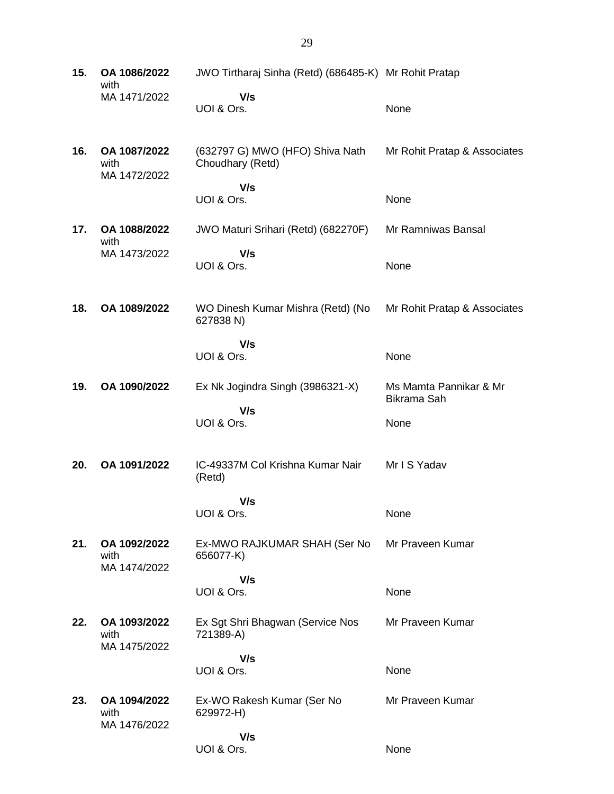| 15. | OA 1086/2022<br>with                 | JWO Tirtharaj Sinha (Retd) (686485-K) Mr Rohit Pratap |                                       |
|-----|--------------------------------------|-------------------------------------------------------|---------------------------------------|
|     | MA 1471/2022                         | V/s<br>UOI & Ors.                                     | None                                  |
| 16. | OA 1087/2022<br>with<br>MA 1472/2022 | (632797 G) MWO (HFO) Shiva Nath<br>Choudhary (Retd)   | Mr Rohit Pratap & Associates          |
|     |                                      | V/s<br>UOI & Ors.                                     | None                                  |
| 17. | OA 1088/2022<br>with                 | JWO Maturi Srihari (Retd) (682270F)                   | Mr Ramniwas Bansal                    |
|     | MA 1473/2022                         | V/s<br>UOI & Ors.                                     | None                                  |
| 18. | OA 1089/2022                         | WO Dinesh Kumar Mishra (Retd) (No<br>627838 N)        | Mr Rohit Pratap & Associates          |
|     |                                      | V/s<br>UOI & Ors.                                     | None                                  |
| 19. | OA 1090/2022                         | Ex Nk Jogindra Singh (3986321-X)                      | Ms Mamta Pannikar & Mr<br>Bikrama Sah |
|     |                                      | V/s<br>UOI & Ors.                                     | None                                  |
| 20. | OA 1091/2022                         | IC-49337M Col Krishna Kumar Nair<br>(Retd)            | Mr I S Yadav                          |
|     |                                      | V/s<br>UOI & Ors.                                     | None                                  |
| 21. | OA 1092/2022<br>with                 | Ex-MWO RAJKUMAR SHAH (Ser No<br>656077-K)             | Mr Praveen Kumar                      |
|     | MA 1474/2022                         | V/s<br>UOI & Ors.                                     | None                                  |
| 22. | OA 1093/2022<br>with                 | Ex Sgt Shri Bhagwan (Service Nos<br>721389-A)         | Mr Praveen Kumar                      |
|     | MA 1475/2022                         | V/s<br>UOI & Ors.                                     | None                                  |
| 23. | OA 1094/2022<br>with<br>MA 1476/2022 | Ex-WO Rakesh Kumar (Ser No<br>629972-H)               | Mr Praveen Kumar                      |
|     |                                      | V/s<br>UOI & Ors.                                     | None                                  |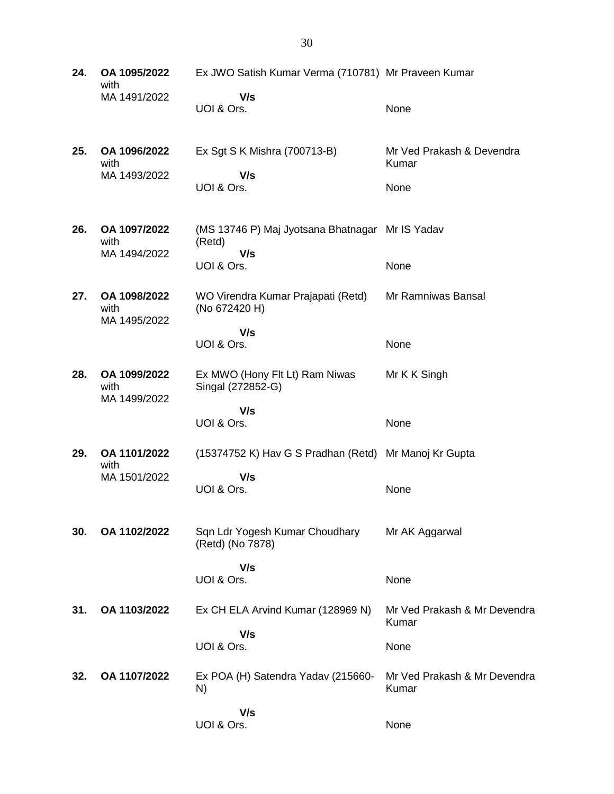| 24. | OA 1095/2022<br>with                 | Ex JWO Satish Kumar Verma (710781) Mr Praveen Kumar              |                                       |
|-----|--------------------------------------|------------------------------------------------------------------|---------------------------------------|
|     | MA 1491/2022                         | V/s<br>UOI & Ors.                                                | None                                  |
| 25. | OA 1096/2022<br>with<br>MA 1493/2022 | Ex Sgt S K Mishra (700713-B)<br>V/s                              | Mr Ved Prakash & Devendra<br>Kumar    |
|     |                                      | UOI & Ors.                                                       | None                                  |
| 26. | OA 1097/2022<br>with<br>MA 1494/2022 | (MS 13746 P) Maj Jyotsana Bhatnagar Mr IS Yadav<br>(Retd)<br>V/s |                                       |
|     |                                      | UOI & Ors.                                                       | None                                  |
| 27. | OA 1098/2022<br>with<br>MA 1495/2022 | WO Virendra Kumar Prajapati (Retd)<br>(No 672420 H)              | Mr Ramniwas Bansal                    |
|     |                                      | V/s<br>UOI & Ors.                                                | None                                  |
| 28. | OA 1099/2022<br>with<br>MA 1499/2022 | Ex MWO (Hony Flt Lt) Ram Niwas<br>Singal (272852-G)              | Mr K K Singh                          |
|     |                                      | V/s<br>UOI & Ors.                                                | None                                  |
| 29. | OA 1101/2022<br>with                 | (15374752 K) Hav G S Pradhan (Retd) Mr Manoj Kr Gupta            |                                       |
|     | MA 1501/2022                         | V/s<br>UOI & Ors.                                                | None                                  |
| 30. | OA 1102/2022                         | Sqn Ldr Yogesh Kumar Choudhary<br>(Retd) (No 7878)               | Mr AK Aggarwal                        |
|     |                                      | V/s<br>UOI & Ors.                                                | None                                  |
| 31. | OA 1103/2022                         | Ex CH ELA Arvind Kumar (128969 N)                                | Mr Ved Prakash & Mr Devendra<br>Kumar |
|     |                                      | V/s<br>UOI & Ors.                                                | None                                  |
| 32. | OA 1107/2022                         | Ex POA (H) Satendra Yadav (215660-<br>N)                         | Mr Ved Prakash & Mr Devendra<br>Kumar |
|     |                                      | V/s<br>UOI & Ors.                                                | None                                  |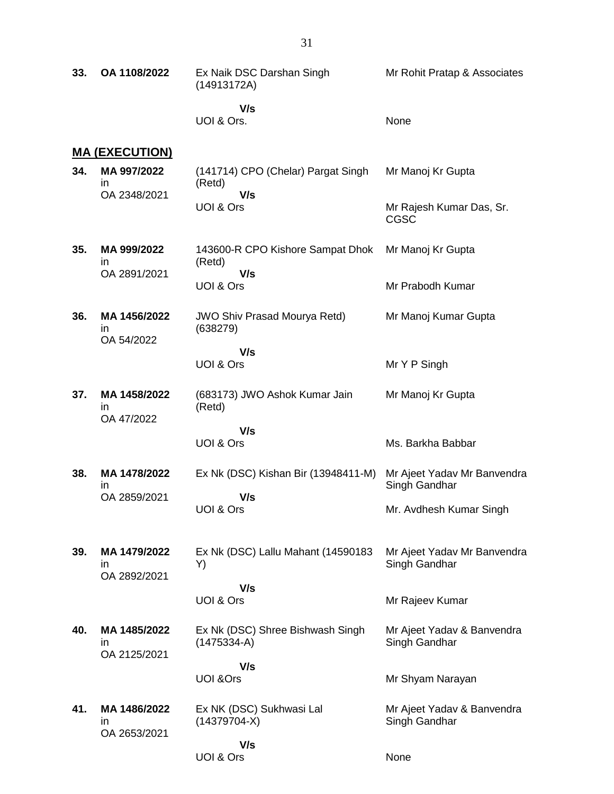| 33. | OA 1108/2022                       | Ex Naik DSC Darshan Singh<br>(14913172A)          | Mr Rohit Pratap & Associates                 |
|-----|------------------------------------|---------------------------------------------------|----------------------------------------------|
|     |                                    | V/s<br>UOI & Ors.                                 | None                                         |
|     | <u>MA (EXECUTION)</u>              |                                                   |                                              |
| 34. | MA 997/2022<br>in<br>OA 2348/2021  | (141714) CPO (Chelar) Pargat Singh<br>(Retd)      | Mr Manoj Kr Gupta                            |
|     |                                    | V/s<br>UOI & Ors                                  | Mr Rajesh Kumar Das, Sr.<br>CGSC             |
| 35. | MA 999/2022<br>in                  | 143600-R CPO Kishore Sampat Dhok<br>(Retd)        | Mr Manoj Kr Gupta                            |
|     | OA 2891/2021                       | V/s<br>UOI & Ors                                  | Mr Prabodh Kumar                             |
| 36. | MA 1456/2022<br>in<br>OA 54/2022   | <b>JWO Shiv Prasad Mourya Retd)</b><br>(638279)   | Mr Manoj Kumar Gupta                         |
|     |                                    | V/s                                               |                                              |
|     |                                    | UOI & Ors                                         | Mr Y P Singh                                 |
| 37. | MA 1458/2022<br>ın<br>OA 47/2022   | (683173) JWO Ashok Kumar Jain<br>(Retd)           | Mr Manoj Kr Gupta                            |
|     |                                    | V/s<br>UOI & Ors                                  | Ms. Barkha Babbar                            |
| 38. | MA 1478/2022<br>in<br>OA 2859/2021 | Ex Nk (DSC) Kishan Bir (13948411-M)               | Mr Ajeet Yadav Mr Banvendra<br>Singh Gandhar |
|     |                                    | V/s<br>UOI & Ors                                  | Mr. Avdhesh Kumar Singh                      |
| 39. | MA 1479/2022<br>in<br>OA 2892/2021 | Ex Nk (DSC) Lallu Mahant (14590183<br>Y)          | Mr Ajeet Yadav Mr Banvendra<br>Singh Gandhar |
|     |                                    | V/s<br>UOI & Ors                                  | Mr Rajeev Kumar                              |
| 40. | MA 1485/2022<br>in.                | Ex Nk (DSC) Shree Bishwash Singh<br>$(1475334-A)$ | Mr Ajeet Yadav & Banvendra<br>Singh Gandhar  |
|     | OA 2125/2021                       | V/s                                               |                                              |
|     |                                    | <b>UOI &amp;Ors</b>                               | Mr Shyam Narayan                             |
| 41. | MA 1486/2022<br>in<br>OA 2653/2021 | Ex NK (DSC) Sukhwasi Lal<br>$(14379704-X)$        | Mr Ajeet Yadav & Banvendra<br>Singh Gandhar  |
|     |                                    | V/s<br>UOI & Ors                                  | None                                         |